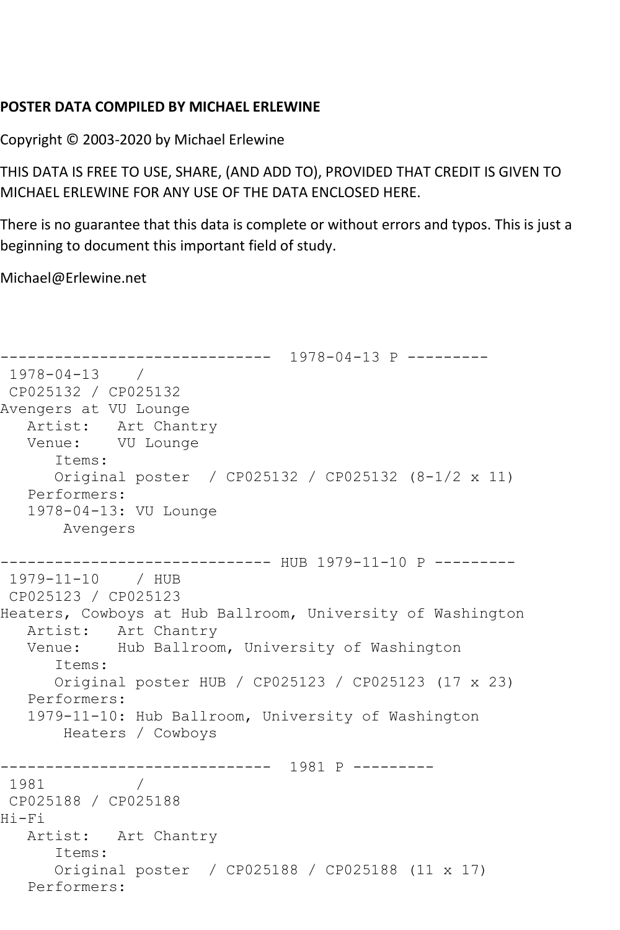## **POSTER DATA COMPILED BY MICHAEL ERLEWINE**

Copyright © 2003-2020 by Michael Erlewine

THIS DATA IS FREE TO USE, SHARE, (AND ADD TO), PROVIDED THAT CREDIT IS GIVEN TO MICHAEL ERLEWINE FOR ANY USE OF THE DATA ENCLOSED HERE.

There is no guarantee that this data is complete or without errors and typos. This is just a beginning to document this important field of study.

Michael@Erlewine.net

```
------------------------------ 1978-04-13 P ---------
1978-04-13 / 
CP025132 / CP025132
Avengers at VU Lounge
   Artist: Art Chantry
   Venue: VU Lounge
      Items:
      Original poster / CP025132 / CP025132 (8-1/2 x 11)
   Performers:
   1978-04-13: VU Lounge
       Avengers
                  ------------ HUB 1979-11-10 P ---------
1979-11-10 / HUB 
CP025123 / CP025123
Heaters, Cowboys at Hub Ballroom, University of Washington
   Artist: Art Chantry
   Venue: Hub Ballroom, University of Washington
      Items:
      Original poster HUB / CP025123 / CP025123 (17 x 23)
   Performers:
   1979-11-10: Hub Ballroom, University of Washington
       Heaters / Cowboys
------------------------------ 1981 P ---------
1981 / 
CP025188 / CP025188
Hi-Fi
   Artist: Art Chantry
      Items:
      Original poster / CP025188 / CP025188 (11 x 17)
   Performers:
```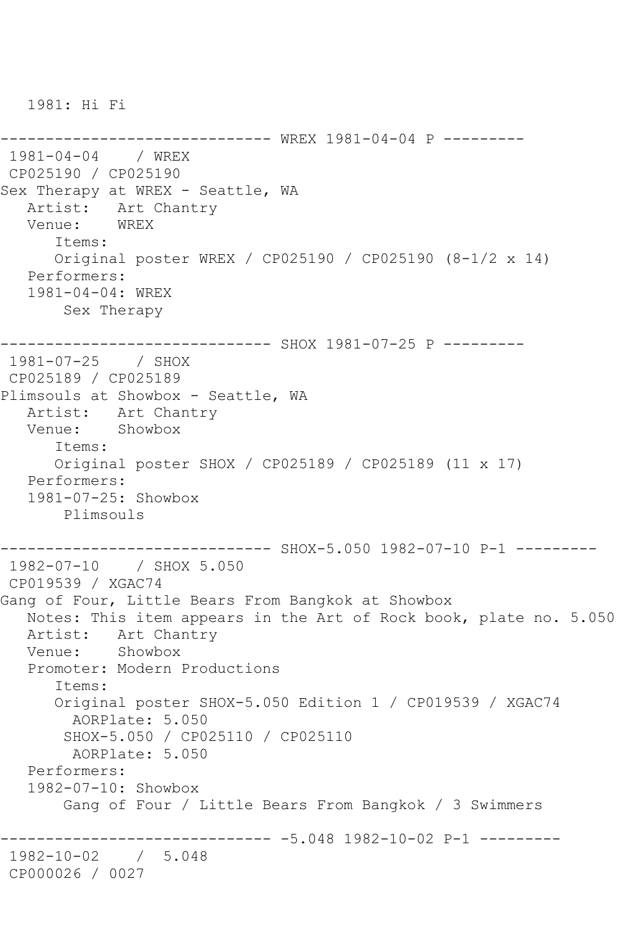1981: Hi Fi

----------------- WREX 1981-04-04 P ---------1981-04-04 / WREX CP025190 / CP025190 Sex Therapy at WREX - Seattle, WA Artist: Art Chantry<br>Venue: WREX Venue: Items: Original poster WREX / CP025190 / CP025190 (8-1/2 x 14) Performers: 1981-04-04: WREX Sex Therapy ------------------------------ SHOX 1981-07-25 P --------- 1981-07-25 / SHOX CP025189 / CP025189 Plimsouls at Showbox - Seattle, WA Artist: Art Chantry Venue: Showbox Items: Original poster SHOX / CP025189 / CP025189 (11 x 17) Performers: 1981-07-25: Showbox Plimsouls ------------------------------ SHOX-5.050 1982-07-10 P-1 --------- 1982-07-10 / SHOX 5.050 CP019539 / XGAC74 Gang of Four, Little Bears From Bangkok at Showbox Notes: This item appears in the Art of Rock book, plate no. 5.050 Artist: Art Chantry<br>Venue: Showbox Showbox Promoter: Modern Productions Items: Original poster SHOX-5.050 Edition 1 / CP019539 / XGAC74 AORPlate: 5.050 SHOX-5.050 / CP025110 / CP025110 AORPlate: 5.050 Performers: 1982-07-10: Showbox Gang of Four / Little Bears From Bangkok / 3 Swimmers ------------------------------ -5.048 1982-10-02 P-1 --------- 1982-10-02 / 5.048 CP000026 / 0027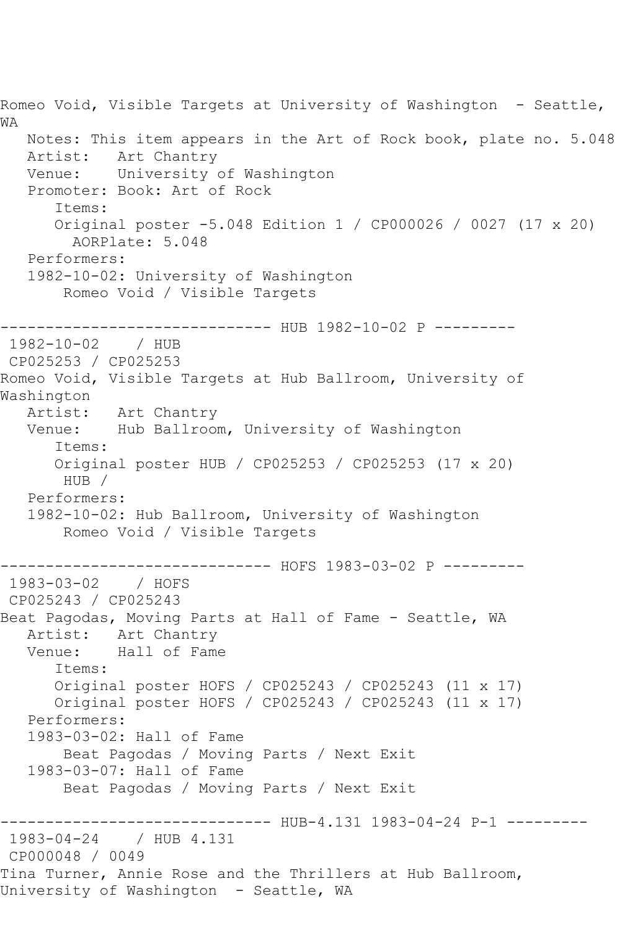Romeo Void, Visible Targets at University of Washington - Seattle, WA Notes: This item appears in the Art of Rock book, plate no. 5.048 Artist: Art Chantry Venue: University of Washington Promoter: Book: Art of Rock Items: Original poster -5.048 Edition 1 / CP000026 / 0027 (17 x 20) AORPlate: 5.048 Performers: 1982-10-02: University of Washington Romeo Void / Visible Targets -------------------------------- HUB 1982-10-02 P ---------<br>1982-10-02 / HUB 1982-10-02 CP025253 / CP025253 Romeo Void, Visible Targets at Hub Ballroom, University of Washington<br>:Artist Art Chantry Venue: Hub Ballroom, University of Washington Items: Original poster HUB / CP025253 / CP025253 (17 x 20) HUB / Performers: 1982-10-02: Hub Ballroom, University of Washington Romeo Void / Visible Targets ------------------------------ HOFS 1983-03-02 P --------- 1983-03-02 CP025243 / CP025243 Beat Pagodas, Moving Parts at Hall of Fame - Seattle, WA Artist: Art Chantry Venue: Hall of Fame Items: Original poster HOFS / CP025243 / CP025243 (11 x 17) Original poster HOFS / CP025243 / CP025243 (11 x 17) Performers: 1983-03-02: Hall of Fame Beat Pagodas / Moving Parts / Next Exit 1983-03-07: Hall of Fame Beat Pagodas / Moving Parts / Next Exit ------------------------------ HUB-4.131 1983-04-24 P-1 --------- 1983-04-24 / HUB 4.131 CP000048 / 0049 Tina Turner, Annie Rose and the Thrillers at Hub Ballroom, University of Washington - Seattle, WA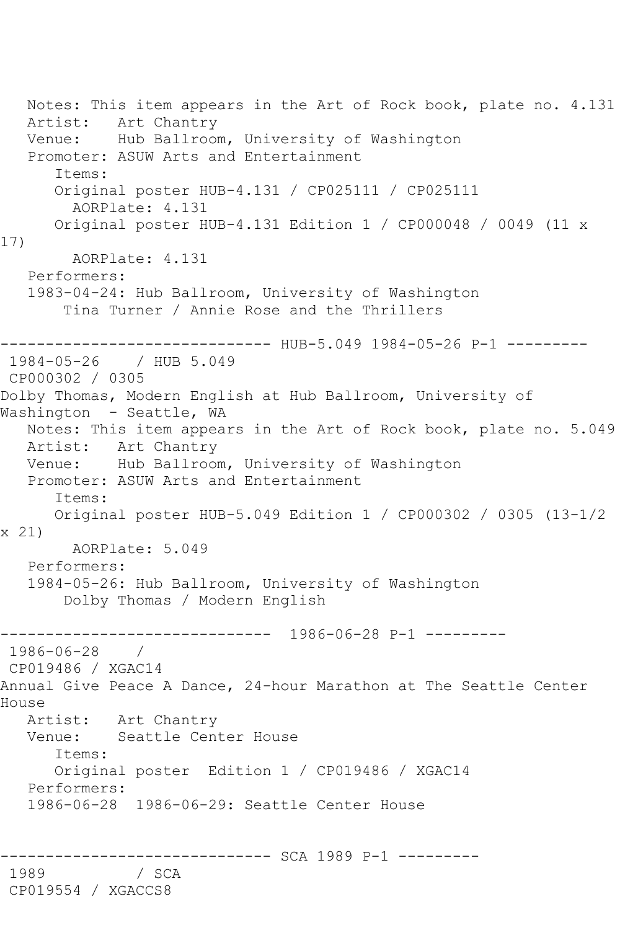Notes: This item appears in the Art of Rock book, plate no. 4.131 Artist: Art Chantry Venue: Hub Ballroom, University of Washington Promoter: ASUW Arts and Entertainment Items: Original poster HUB-4.131 / CP025111 / CP025111 AORPlate: 4.131 Original poster HUB-4.131 Edition 1 / CP000048 / 0049 (11 x 17) AORPlate: 4.131 Performers: 1983-04-24: Hub Ballroom, University of Washington Tina Turner / Annie Rose and the Thrillers ------------------------------ HUB-5.049 1984-05-26 P-1 --------- 1984-05-26 / HUB 5.049 CP000302 / 0305 Dolby Thomas, Modern English at Hub Ballroom, University of Washington - Seattle, WA Notes: This item appears in the Art of Rock book, plate no. 5.049 Artist: Art Chantry Venue: Hub Ballroom, University of Washington Promoter: ASUW Arts and Entertainment Items: Original poster HUB-5.049 Edition 1 / CP000302 / 0305 (13-1/2 x 21) AORPlate: 5.049 Performers: 1984-05-26: Hub Ballroom, University of Washington Dolby Thomas / Modern English ------------------------------ 1986-06-28 P-1 --------- 1986-06-28 / CP019486 / XGAC14 Annual Give Peace A Dance, 24-hour Marathon at The Seattle Center House Artist: Art Chantry Venue: Seattle Center House Items: Original poster Edition 1 / CP019486 / XGAC14 Performers: 1986-06-28 1986-06-29: Seattle Center House ------------------------------ SCA 1989 P-1 --------- 1989 / SCA CP019554 / XGACCS8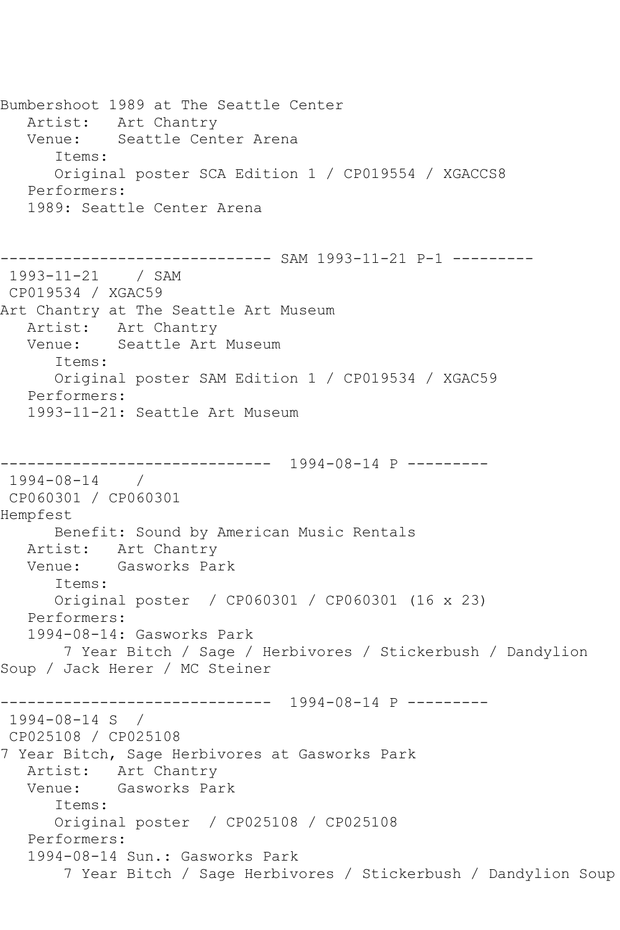Bumbershoot 1989 at The Seattle Center Artist: Art Chantry Venue: Seattle Center Arena Items: Original poster SCA Edition 1 / CP019554 / XGACCS8 Performers: 1989: Seattle Center Arena ------------------------------ SAM 1993-11-21 P-1 --------- 1993-11-21 / SAM CP019534 / XGAC59 Art Chantry at The Seattle Art Museum Artist: Art Chantry Venue: Seattle Art Museum Items: Original poster SAM Edition 1 / CP019534 / XGAC59 Performers: 1993-11-21: Seattle Art Museum ------------------------------ 1994-08-14 P --------- 1994-08-14 / CP060301 / CP060301 Hempfest Benefit: Sound by American Music Rentals Artist: Art Chantry Venue: Gasworks Park Items: Original poster / CP060301 / CP060301 (16 x 23) Performers: 1994-08-14: Gasworks Park 7 Year Bitch / Sage / Herbivores / Stickerbush / Dandylion Soup / Jack Herer / MC Steiner ------------------------------ 1994-08-14 P --------- 1994-08-14 S / CP025108 / CP025108 7 Year Bitch, Sage Herbivores at Gasworks Park Artist: Art Chantry Venue: Gasworks Park Items: Original poster / CP025108 / CP025108 Performers: 1994-08-14 Sun.: Gasworks Park 7 Year Bitch / Sage Herbivores / Stickerbush / Dandylion Soup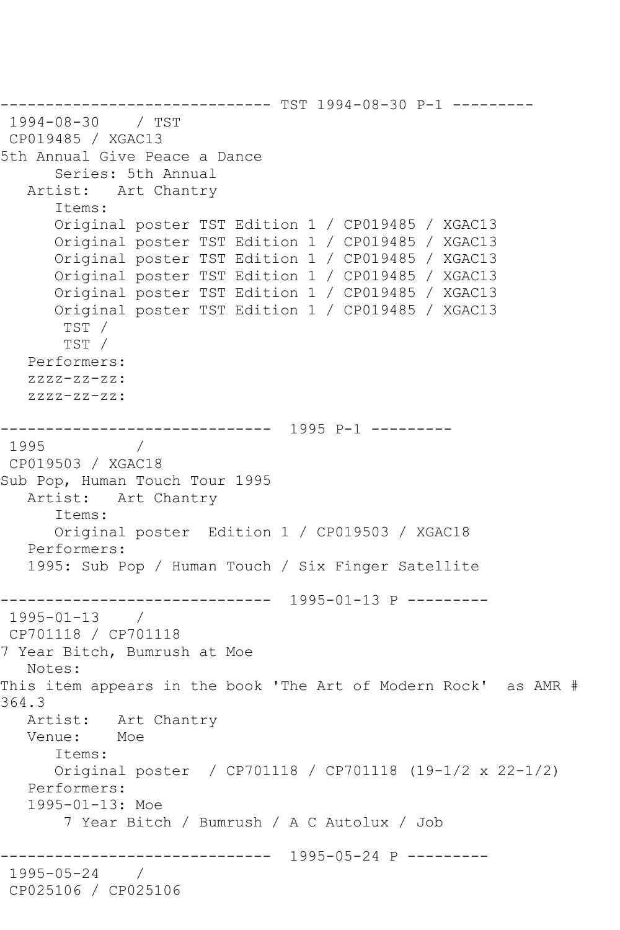------------------------------ TST 1994-08-30 P-1 --------- 1994-08-30 / TST CP019485 / XGAC13 5th Annual Give Peace a Dance Series: 5th Annual Artist: Art Chantry Items: Original poster TST Edition 1 / CP019485 / XGAC13 Original poster TST Edition 1 / CP019485 / XGAC13 Original poster TST Edition 1 / CP019485 / XGAC13 Original poster TST Edition 1 / CP019485 / XGAC13 Original poster TST Edition 1 / CP019485 / XGAC13 Original poster TST Edition 1 / CP019485 / XGAC13 TST / TST / Performers: zzzz-zz-zz: zzzz-zz-zz: ------------------------------ 1995 P-1 --------- 1995 / CP019503 / XGAC18 Sub Pop, Human Touch Tour 1995 Artist: Art Chantry Items: Original poster Edition 1 / CP019503 / XGAC18 Performers: 1995: Sub Pop / Human Touch / Six Finger Satellite ------------------------------ 1995-01-13 P --------- 1995-01-13 / CP701118 / CP701118 7 Year Bitch, Bumrush at Moe Notes: This item appears in the book 'The Art of Modern Rock' as AMR # 364.3 Artist: Art Chantry Venue: Moe Items: Original poster / CP701118 / CP701118 (19-1/2 x 22-1/2) Performers: 1995-01-13: Moe 7 Year Bitch / Bumrush / A C Autolux / Job ------------------------------ 1995-05-24 P --------- 1995-05-24 / CP025106 / CP025106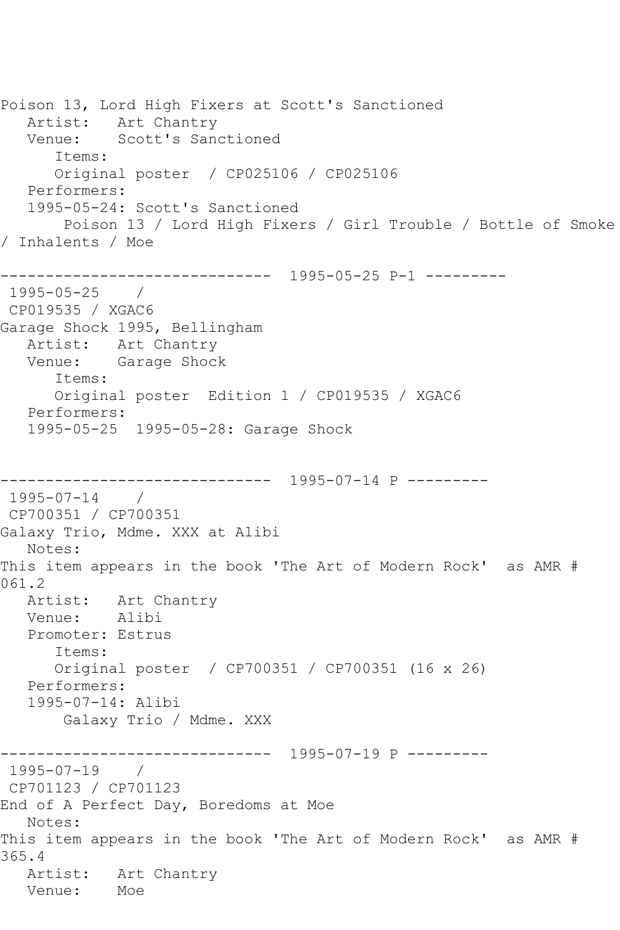Poison 13, Lord High Fixers at Scott's Sanctioned Artist: Art Chantry Venue: Scott's Sanctioned Items: Original poster / CP025106 / CP025106 Performers: 1995-05-24: Scott's Sanctioned Poison 13 / Lord High Fixers / Girl Trouble / Bottle of Smoke / Inhalents / Moe ------------------------------ 1995-05-25 P-1 --------- 1995-05-25 / CP019535 / XGAC6 Garage Shock 1995, Bellingham Artist: Art Chantry Venue: Garage Shock Items: Original poster Edition 1 / CP019535 / XGAC6 Performers: 1995-05-25 1995-05-28: Garage Shock ------------------------------ 1995-07-14 P --------- 1995-07-14 / CP700351 / CP700351 Galaxy Trio, Mdme. XXX at Alibi Notes: This item appears in the book 'The Art of Modern Rock' as AMR # 061.2 Artist: Art Chantry<br>Venue: Alibi Venue: Promoter: Estrus Items: Original poster / CP700351 / CP700351 (16 x 26) Performers: 1995-07-14: Alibi Galaxy Trio / Mdme. XXX ------------------------------ 1995-07-19 P --------- 1995-07-19 / CP701123 / CP701123 End of A Perfect Day, Boredoms at Moe Notes: This item appears in the book 'The Art of Modern Rock' as AMR # 365.4 Artist: Art Chantry<br>Venue: Moe Venue: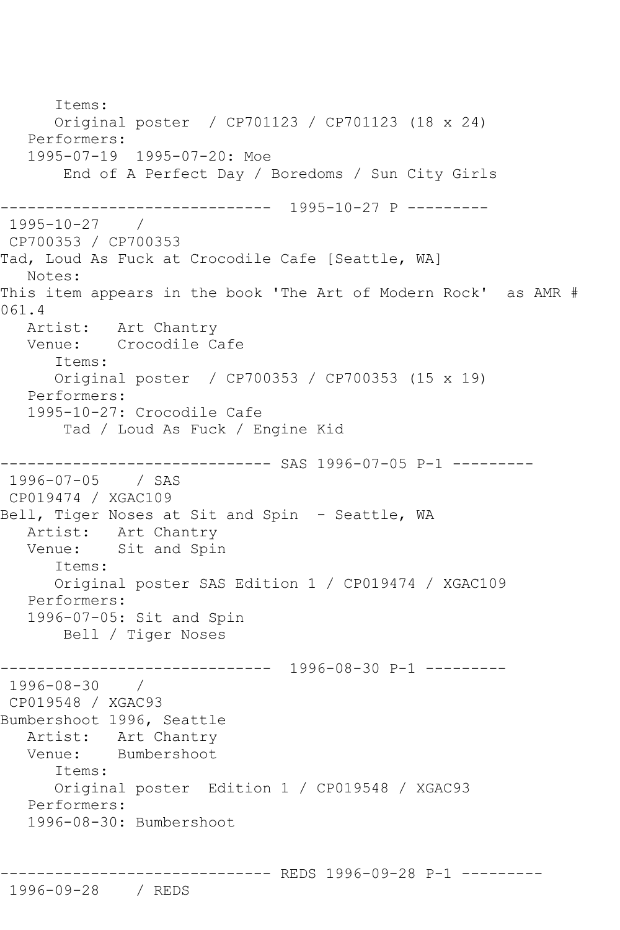Items: Original poster / CP701123 / CP701123 (18 x 24) Performers: 1995-07-19 1995-07-20: Moe End of A Perfect Day / Boredoms / Sun City Girls ------------------------------ 1995-10-27 P --------- 1995-10-27 / CP700353 / CP700353 Tad, Loud As Fuck at Crocodile Cafe [Seattle, WA] Notes: This item appears in the book 'The Art of Modern Rock' as AMR # 061.4 Artist: Art Chantry Venue: Crocodile Cafe Items: Original poster / CP700353 / CP700353 (15 x 19) Performers: 1995-10-27: Crocodile Cafe Tad / Loud As Fuck / Engine Kid ------------------------------ SAS 1996-07-05 P-1 --------- 1996-07-05 / SAS CP019474 / XGAC109 Bell, Tiger Noses at Sit and Spin - Seattle, WA Artist: Art Chantry Venue: Sit and Spin Items: Original poster SAS Edition 1 / CP019474 / XGAC109 Performers: 1996-07-05: Sit and Spin Bell / Tiger Noses ------------------------------ 1996-08-30 P-1 --------- 1996-08-30 / CP019548 / XGAC93 Bumbershoot 1996, Seattle Artist: Art Chantry Venue: Bumbershoot Items: Original poster Edition 1 / CP019548 / XGAC93 Performers: 1996-08-30: Bumbershoot

------------------------------ REDS 1996-09-28 P-1 ---------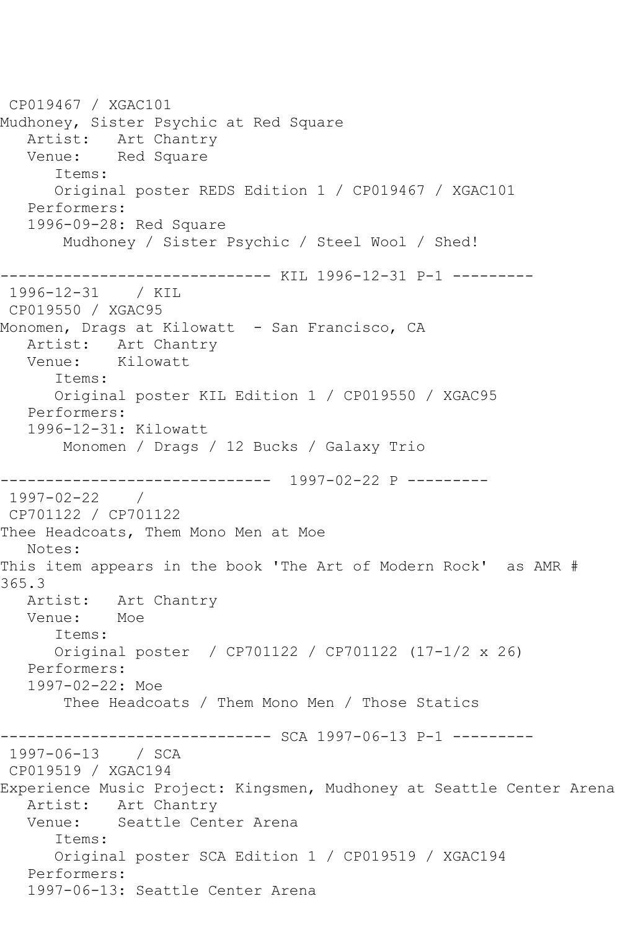CP019467 / XGAC101 Mudhoney, Sister Psychic at Red Square Artist: Art Chantry Venue: Red Square Items: Original poster REDS Edition 1 / CP019467 / XGAC101 Performers: 1996-09-28: Red Square Mudhoney / Sister Psychic / Steel Wool / Shed! ------------------------------ KIL 1996-12-31 P-1 --------- 1996-12-31 / KIL CP019550 / XGAC95 Monomen, Drags at Kilowatt - San Francisco, CA Artist: Art Chantry Venue: Kilowatt Items: Original poster KIL Edition 1 / CP019550 / XGAC95 Performers: 1996-12-31: Kilowatt Monomen / Drags / 12 Bucks / Galaxy Trio ------------------------------ 1997-02-22 P --------- 1997-02-22 / CP701122 / CP701122 Thee Headcoats, Them Mono Men at Moe Notes: This item appears in the book 'The Art of Modern Rock' as AMR # 365.3 Artist: Art Chantry Venue: Moe Items: Original poster / CP701122 / CP701122 (17-1/2 x 26) Performers: 1997-02-22: Moe Thee Headcoats / Them Mono Men / Those Statics -------------------- SCA 1997-06-13 P-1 ---------1997-06-13 / SCA CP019519 / XGAC194 Experience Music Project: Kingsmen, Mudhoney at Seattle Center Arena Artist: Art Chantry<br>Venue: Seattle Cent Seattle Center Arena Items: Original poster SCA Edition 1 / CP019519 / XGAC194 Performers: 1997-06-13: Seattle Center Arena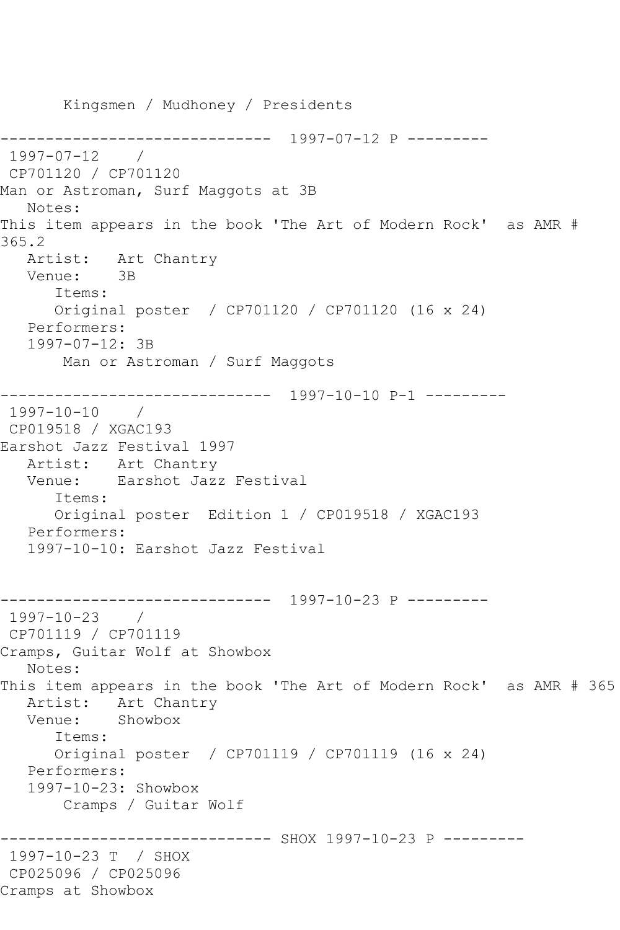Kingsmen / Mudhoney / Presidents ------------------------------ 1997-07-12 P --------- 1997-07-12 / CP701120 / CP701120 Man or Astroman, Surf Maggots at 3B Notes: This item appears in the book 'The Art of Modern Rock' as AMR # 365.2 Artist: Art Chantry<br>Venue: 3B Venue: Items: Original poster / CP701120 / CP701120 (16 x 24) Performers: 1997-07-12: 3B Man or Astroman / Surf Maggots ------------------------------ 1997-10-10 P-1 --------- 1997-10-10 / CP019518 / XGAC193 Earshot Jazz Festival 1997 Artist: Art Chantry<br>Venue: Earshot Jaz: Earshot Jazz Festival Items: Original poster Edition 1 / CP019518 / XGAC193 Performers: 1997-10-10: Earshot Jazz Festival ------------------------------ 1997-10-23 P --------- 1997-10-23 / CP701119 / CP701119 Cramps, Guitar Wolf at Showbox Notes: This item appears in the book 'The Art of Modern Rock' as AMR # 365 Artist: Art Chantry<br>Venue: Showbox Showbox Items: Original poster / CP701119 / CP701119 (16 x 24) Performers: 1997-10-23: Showbox Cramps / Guitar Wolf ------------------------------ SHOX 1997-10-23 P --------- 1997-10-23 T / SHOX CP025096 / CP025096 Cramps at Showbox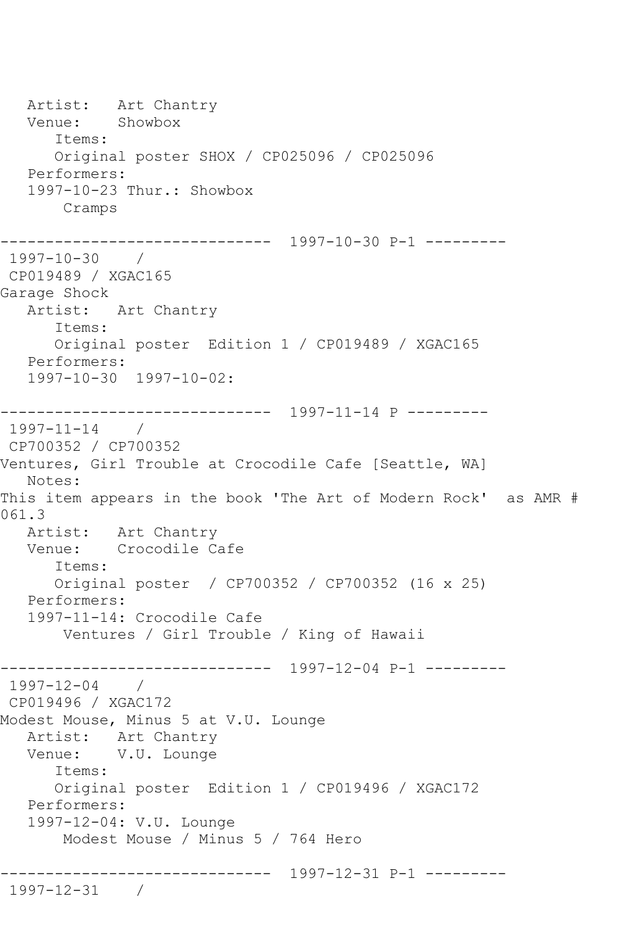Artist: Art Chantry<br>Venue: Showbox Venue: Items: Original poster SHOX / CP025096 / CP025096 Performers: 1997-10-23 Thur.: Showbox Cramps ------------------------------ 1997-10-30 P-1 --------- 1997-10-30 / CP019489 / XGAC165 Garage Shock Artist: Art Chantry Items: Original poster Edition 1 / CP019489 / XGAC165 Performers: 1997-10-30 1997-10-02: ------------------------------ 1997-11-14 P --------- 1997-11-14 / CP700352 / CP700352 Ventures, Girl Trouble at Crocodile Cafe [Seattle, WA] Notes: This item appears in the book 'The Art of Modern Rock' as AMR # 061.3 Artist: Art Chantry Venue: Crocodile Cafe Items: Original poster / CP700352 / CP700352 (16 x 25) Performers: 1997-11-14: Crocodile Cafe Ventures / Girl Trouble / King of Hawaii ------------------------------ 1997-12-04 P-1 --------- 1997-12-04 / CP019496 / XGAC172 Modest Mouse, Minus 5 at V.U. Lounge Artist: Art Chantry Venue: V.U. Lounge Items: Original poster Edition 1 / CP019496 / XGAC172 Performers: 1997-12-04: V.U. Lounge Modest Mouse / Minus 5 / 764 Hero ------------------------------ 1997-12-31 P-1 --------- 1997-12-31 /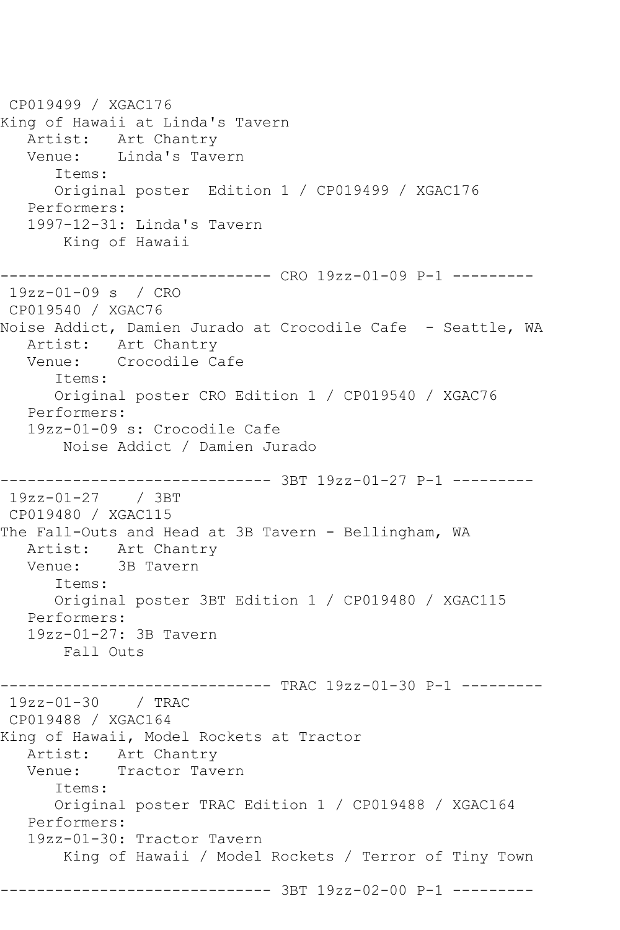CP019499 / XGAC176 King of Hawaii at Linda's Tavern Artist: Art Chantry Venue: Linda's Tavern Items: Original poster Edition 1 / CP019499 / XGAC176 Performers: 1997-12-31: Linda's Tavern King of Hawaii ------------------------------ CRO 19zz-01-09 P-1 --------- 19zz-01-09 s / CRO CP019540 / XGAC76 Noise Addict, Damien Jurado at Crocodile Cafe - Seattle, WA Artist: Art Chantry Venue: Crocodile Cafe Items: Original poster CRO Edition 1 / CP019540 / XGAC76 Performers: 19zz-01-09 s: Crocodile Cafe Noise Addict / Damien Jurado ------------------------------ 3BT 19zz-01-27 P-1 --------- 19zz-01-27 / 3BT CP019480 / XGAC115 The Fall-Outs and Head at 3B Tavern - Bellingham, WA Artist: Art Chantry Venue: 3B Tavern Items: Original poster 3BT Edition 1 / CP019480 / XGAC115 Performers: 19zz-01-27: 3B Tavern Fall Outs --------- TRAC 19zz-01-30 P-1 ---------19zz-01-30 / TRAC CP019488 / XGAC164 King of Hawaii, Model Rockets at Tractor Artist: Art Chantry<br>Venue: Tractor Tave Tractor Tavern Items: Original poster TRAC Edition 1 / CP019488 / XGAC164 Performers: 19zz-01-30: Tractor Tavern King of Hawaii / Model Rockets / Terror of Tiny Town ------------------------------ 3BT 19zz-02-00 P-1 ---------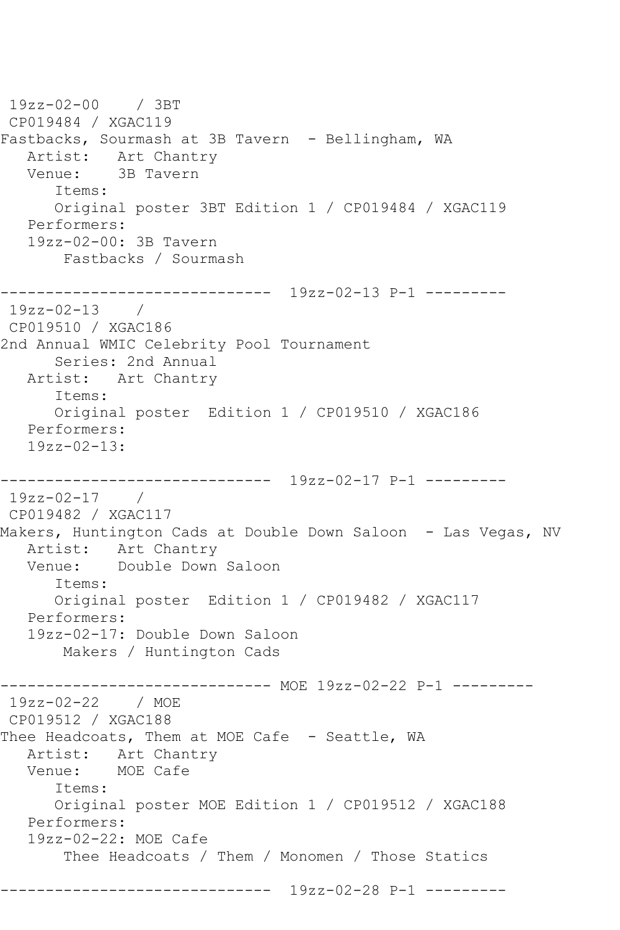```
19zz-02-00 / 3BT 
CP019484 / XGAC119
Fastbacks, Sourmash at 3B Tavern - Bellingham, WA
  Artist: Art Chantry<br>Venue: 3B Tavern
            3B Tavern
       Items:
       Original poster 3BT Edition 1 / CP019484 / XGAC119
   Performers:
    19zz-02-00: 3B Tavern
        Fastbacks / Sourmash
         ------------------------------ 19zz-02-13 P-1 ---------
19zz-02-13 / 
CP019510 / XGAC186
2nd Annual WMIC Celebrity Pool Tournament
       Series: 2nd Annual
   Artist: Art Chantry
       Items:
       Original poster Edition 1 / CP019510 / XGAC186
   Performers:
    19zz-02-13:
------------------------------ 19zz-02-17 P-1 ---------
19zz-02-17 / 
CP019482 / XGAC117
Makers, Huntington Cads at Double Down Saloon - Las Vegas, NV
   Artist: Art Chantry
   Venue: Double Down Saloon
       Items:
       Original poster Edition 1 / CP019482 / XGAC117
   Performers:
    19zz-02-17: Double Down Saloon
        Makers / Huntington Cads
                    ------------------------------ MOE 19zz-02-22 P-1 ---------
19zz-02-22 / MOE 
CP019512 / XGAC188
Thee Headcoats, Them at MOE Cafe - Seattle, WA
  Artist: Art Chantry<br>Venue: MOE Cafe
           MOE Cafe
       Items:
       Original poster MOE Edition 1 / CP019512 / XGAC188
   Performers:
   19zz-02-22: MOE Cafe
        Thee Headcoats / Them / Monomen / Those Statics
------------------------------ 19zz-02-28 P-1 ---------
```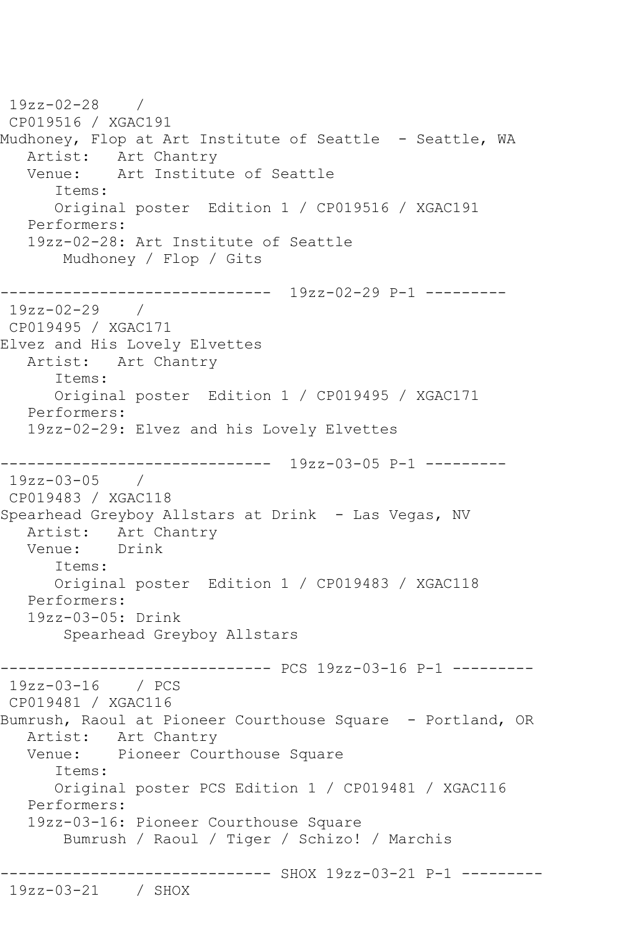19zz-02-28 / CP019516 / XGAC191 Mudhoney, Flop at Art Institute of Seattle - Seattle, WA Artist: Art Chantry<br>Venue: Art Institu Art Institute of Seattle Items: Original poster Edition 1 / CP019516 / XGAC191 Performers: 19zz-02-28: Art Institute of Seattle Mudhoney / Flop / Gits ------------------------------ 19zz-02-29 P-1 --------- 19zz-02-29 / CP019495 / XGAC171 Elvez and His Lovely Elvettes Artist: Art Chantry Items: Original poster Edition 1 / CP019495 / XGAC171 Performers: 19zz-02-29: Elvez and his Lovely Elvettes ------------------------------ 19zz-03-05 P-1 --------- 19zz-03-05 / CP019483 / XGAC118 Spearhead Greyboy Allstars at Drink - Las Vegas, NV Artist: Art Chantry Venue: Drink Items: Original poster Edition 1 / CP019483 / XGAC118 Performers: 19zz-03-05: Drink Spearhead Greyboy Allstars ------------------------------ PCS 19zz-03-16 P-1 --------- 19zz-03-16 / PCS CP019481 / XGAC116 Bumrush, Raoul at Pioneer Courthouse Square - Portland, OR Artist: Art Chantry Venue: Pioneer Courthouse Square Items: Original poster PCS Edition 1 / CP019481 / XGAC116 Performers: 19zz-03-16: Pioneer Courthouse Square Bumrush / Raoul / Tiger / Schizo! / Marchis ------------------------------ SHOX 19zz-03-21 P-1 --------- 19zz-03-21 / SHOX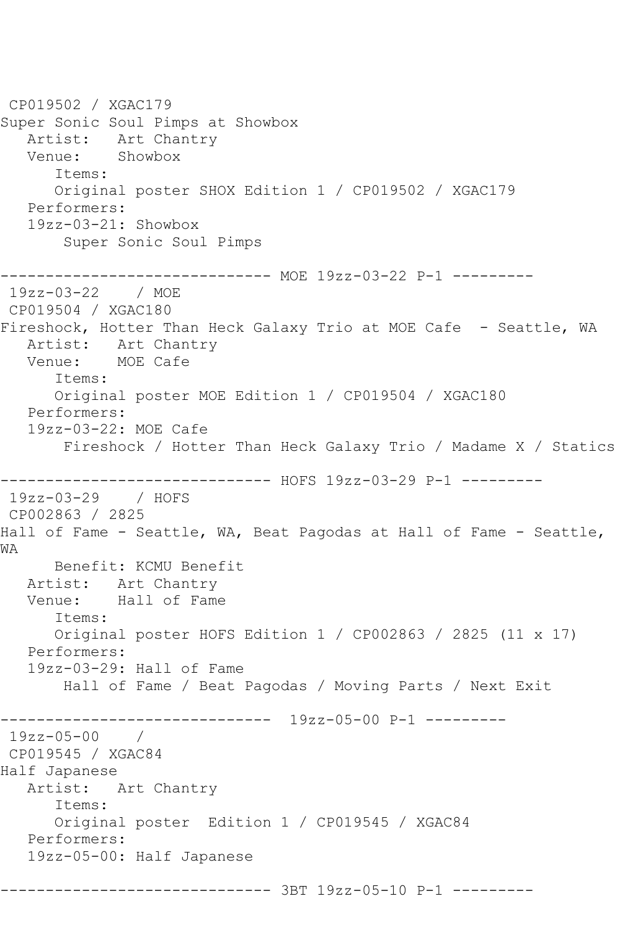CP019502 / XGAC179 Super Sonic Soul Pimps at Showbox Artist: Art Chantry Venue: Showbox Items: Original poster SHOX Edition 1 / CP019502 / XGAC179 Performers: 19zz-03-21: Showbox Super Sonic Soul Pimps ------------------------------ MOE 19zz-03-22 P-1 --------- 19zz-03-22 / MOE CP019504 / XGAC180 Fireshock, Hotter Than Heck Galaxy Trio at MOE Cafe - Seattle, WA Artist: Art Chantry Venue: MOE Cafe Items: Original poster MOE Edition 1 / CP019504 / XGAC180 Performers: 19zz-03-22: MOE Cafe Fireshock / Hotter Than Heck Galaxy Trio / Madame X / Statics ------------------------------ HOFS 19zz-03-29 P-1 --------- 19zz-03-29 / HOFS CP002863 / 2825 Hall of Fame - Seattle, WA, Beat Pagodas at Hall of Fame - Seattle, WA Benefit: KCMU Benefit Artist: Art Chantry Venue: Hall of Fame Items: Original poster HOFS Edition 1 / CP002863 / 2825 (11 x 17) Performers: 19zz-03-29: Hall of Fame Hall of Fame / Beat Pagodas / Moving Parts / Next Exit ------------------------------ 19zz-05-00 P-1 --------- 19zz-05-00 / CP019545 / XGAC84 Half Japanese Artist: Art Chantry Items: Original poster Edition 1 / CP019545 / XGAC84 Performers: 19zz-05-00: Half Japanese ------------------------------ 3BT 19zz-05-10 P-1 ---------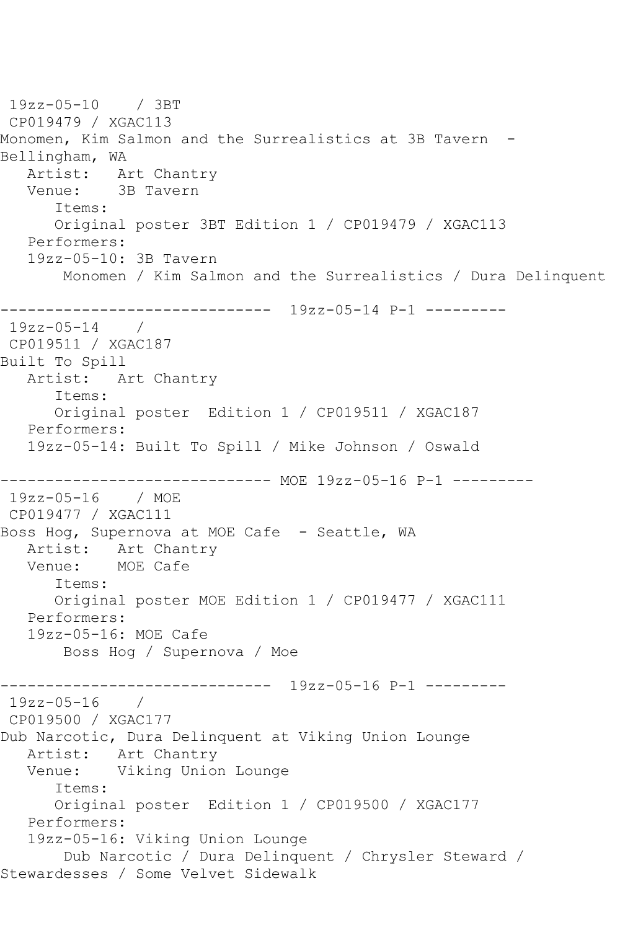19zz-05-10 / 3BT CP019479 / XGAC113 Monomen, Kim Salmon and the Surrealistics at 3B Tavern - Bellingham, WA Artist: Art Chantry Venue: 3B Tavern Items: Original poster 3BT Edition 1 / CP019479 / XGAC113 Performers: 19zz-05-10: 3B Tavern Monomen / Kim Salmon and the Surrealistics / Dura Delinquent ------------------------------ 19zz-05-14 P-1 --------- 19zz-05-14 / CP019511 / XGAC187 Built To Spill Artist: Art Chantry Items: Original poster Edition 1 / CP019511 / XGAC187 Performers: 19zz-05-14: Built To Spill / Mike Johnson / Oswald ------------------------------ MOE 19zz-05-16 P-1 --------- 19zz-05-16 / MOE CP019477 / XGAC111 Boss Hog, Supernova at MOE Cafe - Seattle, WA Artist: Art Chantry<br>Venue: MOE Cafe Venue: Items: Original poster MOE Edition 1 / CP019477 / XGAC111 Performers: 19zz-05-16: MOE Cafe Boss Hog / Supernova / Moe ------------------------------ 19zz-05-16 P-1 --------- 19zz-05-16 / CP019500 / XGAC177 Dub Narcotic, Dura Delinquent at Viking Union Lounge Artist: Art Chantry<br>Venue: Viking Union Viking Union Lounge Items: Original poster Edition 1 / CP019500 / XGAC177 Performers: 19zz-05-16: Viking Union Lounge Dub Narcotic / Dura Delinquent / Chrysler Steward / Stewardesses / Some Velvet Sidewalk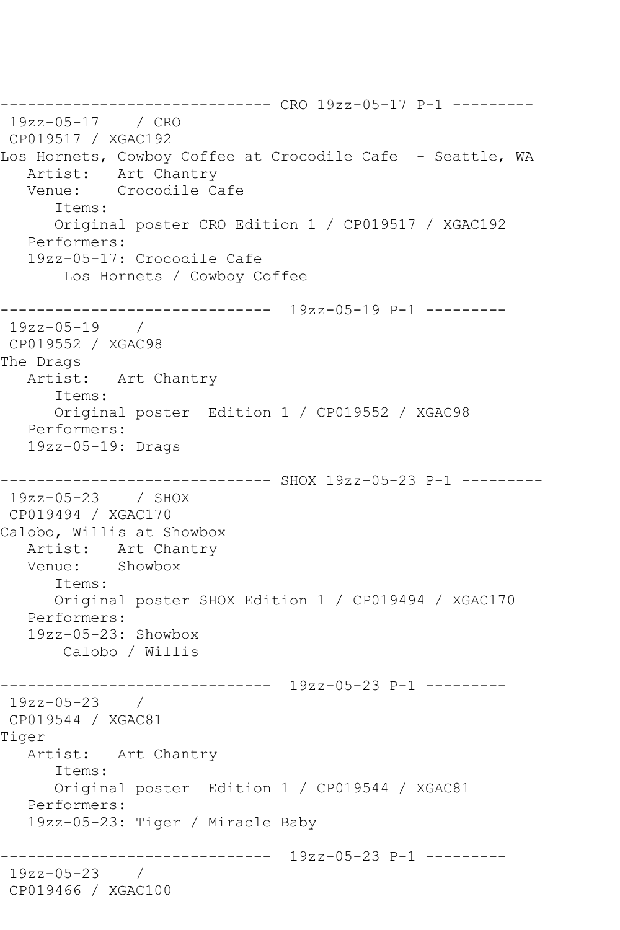------------------------------ CRO 19zz-05-17 P-1 --------- 19zz-05-17 / CRO CP019517 / XGAC192 Los Hornets, Cowboy Coffee at Crocodile Cafe - Seattle, WA Artist: Art Chantry Venue: Crocodile Cafe Items: Original poster CRO Edition 1 / CP019517 / XGAC192 Performers: 19zz-05-17: Crocodile Cafe Los Hornets / Cowboy Coffee ------------------------------ 19zz-05-19 P-1 --------- 19zz-05-19 / CP019552 / XGAC98 The Drags Artist: Art Chantry Items: Original poster Edition 1 / CP019552 / XGAC98 Performers: 19zz-05-19: Drags ------------------------------ SHOX 19zz-05-23 P-1 --------- 19zz-05-23 / SHOX CP019494 / XGAC170 Calobo, Willis at Showbox Artist: Art Chantry Venue: Showbox Items: Original poster SHOX Edition 1 / CP019494 / XGAC170 Performers: 19zz-05-23: Showbox Calobo / Willis ------------------------------ 19zz-05-23 P-1 --------- 19zz-05-23 / CP019544 / XGAC81 Tiger Artist: Art Chantry Items: Original poster Edition 1 / CP019544 / XGAC81 Performers: 19zz-05-23: Tiger / Miracle Baby ------------------------------ 19zz-05-23 P-1 --------- 19zz-05-23 / CP019466 / XGAC100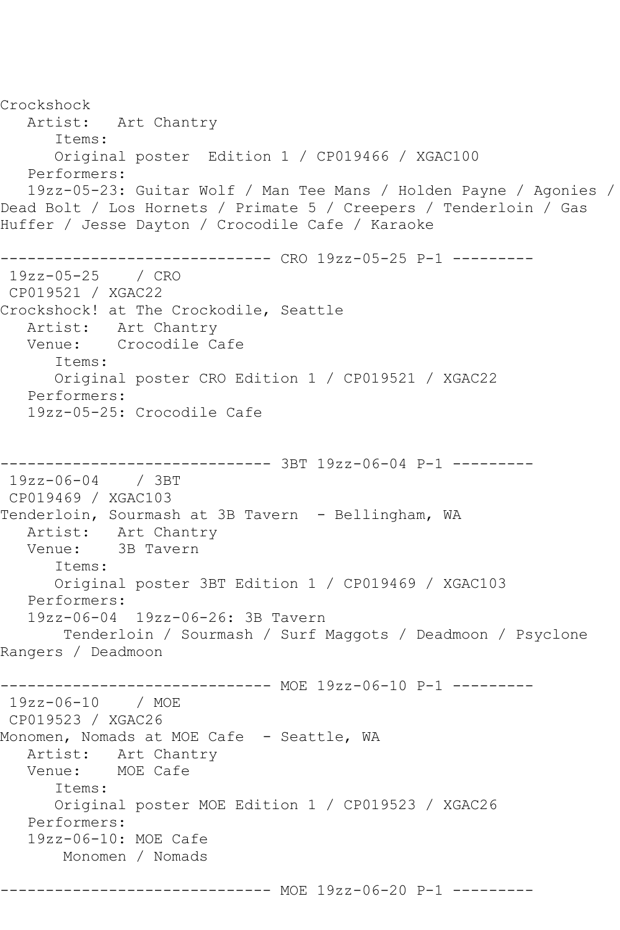Crockshock Artist: Art Chantry Items: Original poster Edition 1 / CP019466 / XGAC100 Performers: 19zz-05-23: Guitar Wolf / Man Tee Mans / Holden Payne / Agonies / Dead Bolt / Los Hornets / Primate 5 / Creepers / Tenderloin / Gas Huffer / Jesse Dayton / Crocodile Cafe / Karaoke ------------------------------ CRO 19zz-05-25 P-1 --------- 19zz-05-25 / CRO CP019521 / XGAC22 Crockshock! at The Crockodile, Seattle Artist: Art Chantry Venue: Crocodile Cafe Items: Original poster CRO Edition 1 / CP019521 / XGAC22 Performers: 19zz-05-25: Crocodile Cafe ------------------------------ 3BT 19zz-06-04 P-1 --------- 19zz-06-04 / 3BT CP019469 / XGAC103 Tenderloin, Sourmash at 3B Tavern - Bellingham, WA Artist: Art Chantry Venue: 3B Tavern Items: Original poster 3BT Edition 1 / CP019469 / XGAC103 Performers: 19zz-06-04 19zz-06-26: 3B Tavern Tenderloin / Sourmash / Surf Maggots / Deadmoon / Psyclone Rangers / Deadmoon ------------------------------ MOE 19zz-06-10 P-1 --------- 19zz-06-10 / MOE CP019523 / XGAC26 Monomen, Nomads at MOE Cafe - Seattle, WA Artist: Art Chantry<br>Venue: MOE Cafe MOE Cafe Items: Original poster MOE Edition 1 / CP019523 / XGAC26 Performers: 19zz-06-10: MOE Cafe Monomen / Nomads ------------------------------ MOE 19zz-06-20 P-1 ---------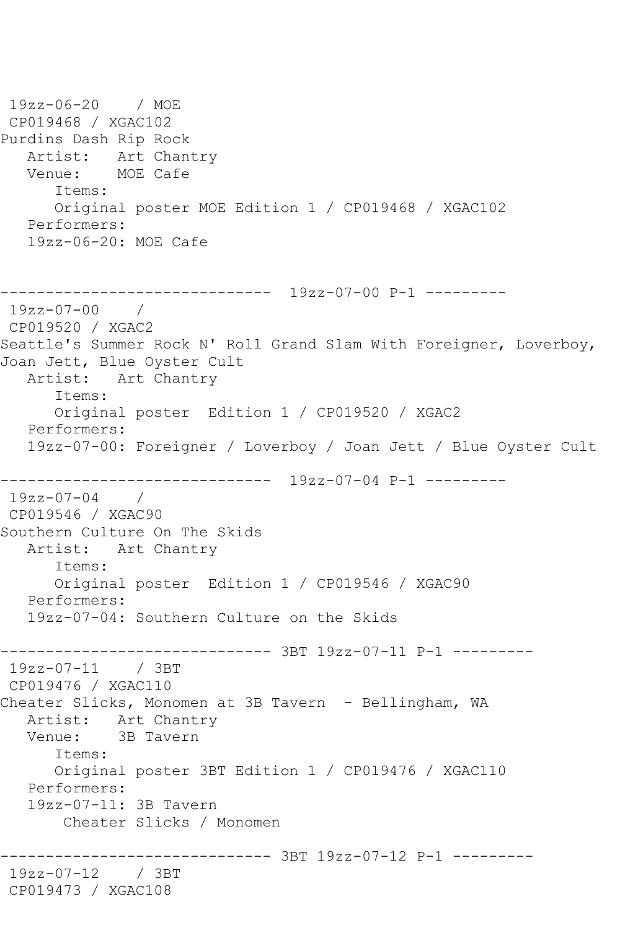19zz-06-20 / MOE CP019468 / XGAC102 Purdins Dash Rip Rock Artist: Art Chantry<br>Venue: MOE Cafe MOE Cafe Items: Original poster MOE Edition 1 / CP019468 / XGAC102 Performers: 19zz-06-20: MOE Cafe ------------------------------ 19zz-07-00 P-1 --------- 19zz-07-00 / CP019520 / XGAC2 Seattle's Summer Rock N' Roll Grand Slam With Foreigner, Loverboy, Joan Jett, Blue Oyster Cult Artist: Art Chantry Items: Original poster Edition 1 / CP019520 / XGAC2 Performers: 19zz-07-00: Foreigner / Loverboy / Joan Jett / Blue Oyster Cult ------------------------------ 19zz-07-04 P-1 --------- 19zz-07-04 / CP019546 / XGAC90 Southern Culture On The Skids Artist: Art Chantry Items: Original poster Edition 1 / CP019546 / XGAC90 Performers: 19zz-07-04: Southern Culture on the Skids ------------------------------ 3BT 19zz-07-11 P-1 --------- 19zz-07-11 / 3BT CP019476 / XGAC110 Cheater Slicks, Monomen at 3B Tavern - Bellingham, WA Artist: Art Chantry Venue: 3B Tavern Items: Original poster 3BT Edition 1 / CP019476 / XGAC110 Performers: 19zz-07-11: 3B Tavern Cheater Slicks / Monomen ------------------------------ 3BT 19zz-07-12 P-1 --------- 19zz-07-12 / 3BT CP019473 / XGAC108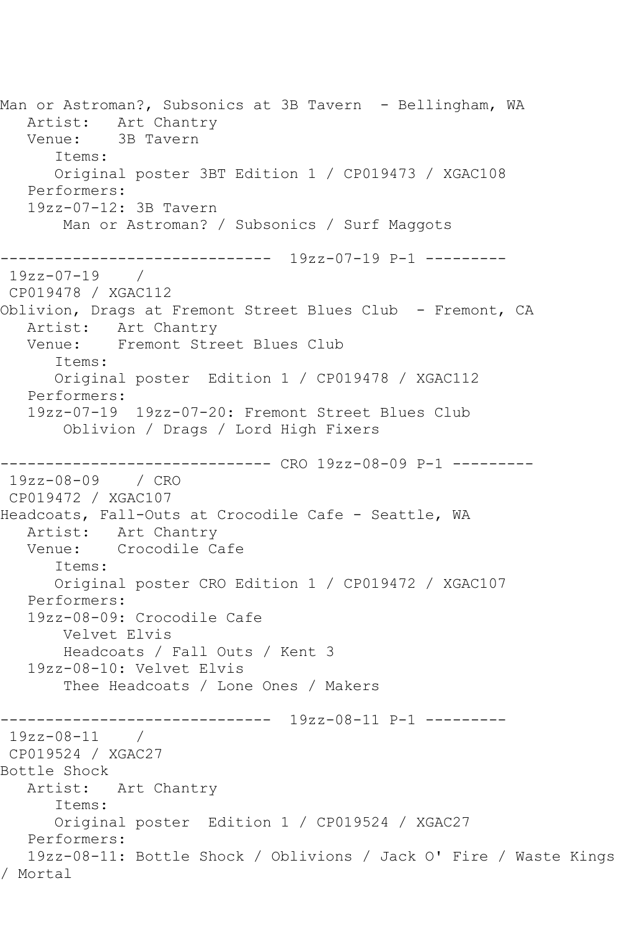Man or Astroman?, Subsonics at 3B Tavern - Bellingham, WA Artist: Art Chantry Venue: 3B Tavern Items: Original poster 3BT Edition 1 / CP019473 / XGAC108 Performers: 19zz-07-12: 3B Tavern Man or Astroman? / Subsonics / Surf Maggots ------------------------------ 19zz-07-19 P-1 ---------  $19zz-07-19$ CP019478 / XGAC112 Oblivion, Drags at Fremont Street Blues Club - Fremont, CA Artist: Art Chantry Venue: Fremont Street Blues Club Items: Original poster Edition 1 / CP019478 / XGAC112 Performers: 19zz-07-19 19zz-07-20: Fremont Street Blues Club Oblivion / Drags / Lord High Fixers ------------------------------ CRO 19zz-08-09 P-1 --------- 19zz-08-09 / CRO CP019472 / XGAC107 Headcoats, Fall-Outs at Crocodile Cafe - Seattle, WA Artist: Art Chantry Venue: Crocodile Cafe Items: Original poster CRO Edition 1 / CP019472 / XGAC107 Performers: 19zz-08-09: Crocodile Cafe Velvet Elvis Headcoats / Fall Outs / Kent 3 19zz-08-10: Velvet Elvis Thee Headcoats / Lone Ones / Makers ------------------------------ 19zz-08-11 P-1 --------- 19zz-08-11 / CP019524 / XGAC27 Bottle Shock Artist: Art Chantry Items: Original poster Edition 1 / CP019524 / XGAC27 Performers: 19zz-08-11: Bottle Shock / Oblivions / Jack O' Fire / Waste Kings / Mortal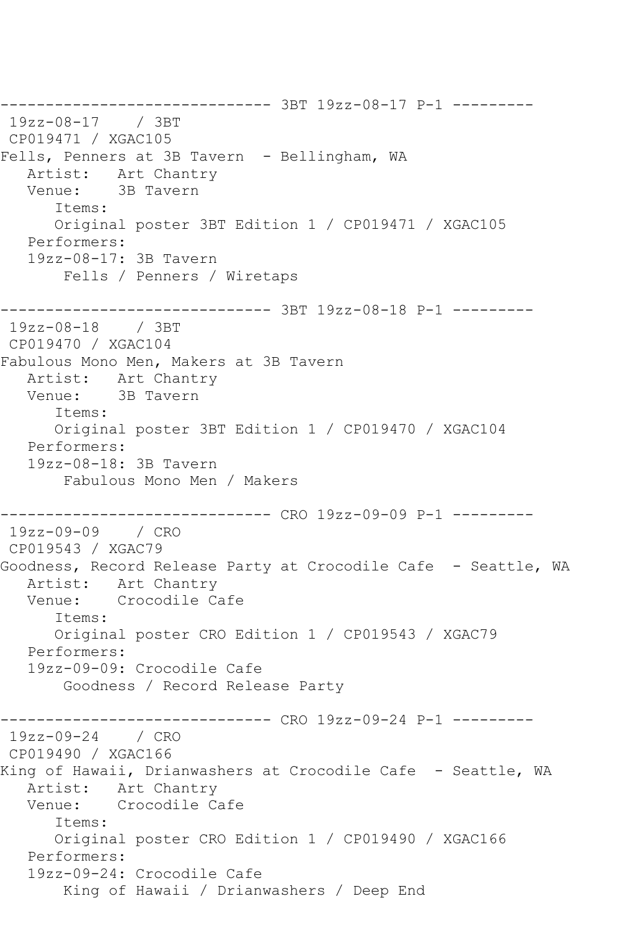------------------------------ 3BT 19zz-08-17 P-1 --------- 19zz-08-17 / 3BT CP019471 / XGAC105 Fells, Penners at 3B Tavern - Bellingham, WA Artist: Art Chantry Venue: 3B Tavern Items: Original poster 3BT Edition 1 / CP019471 / XGAC105 Performers: 19zz-08-17: 3B Tavern Fells / Penners / Wiretaps ------------------------------ 3BT 19zz-08-18 P-1 --------- 19zz-08-18 / 3BT CP019470 / XGAC104 Fabulous Mono Men, Makers at 3B Tavern Artist: Art Chantry<br>Venue: 3B Tavern 3B Tavern Items: Original poster 3BT Edition 1 / CP019470 / XGAC104 Performers: 19zz-08-18: 3B Tavern Fabulous Mono Men / Makers ------------------------------ CRO 19zz-09-09 P-1 --------- 19zz-09-09 / CRO CP019543 / XGAC79 Goodness, Record Release Party at Crocodile Cafe - Seattle, WA Artist: Art Chantry Venue: Crocodile Cafe Items: Original poster CRO Edition 1 / CP019543 / XGAC79 Performers: 19zz-09-09: Crocodile Cafe Goodness / Record Release Party ------------------------------ CRO 19zz-09-24 P-1 --------- 19zz-09-24 / CRO CP019490 / XGAC166 King of Hawaii, Drianwashers at Crocodile Cafe - Seattle, WA Artist: Art Chantry Venue: Crocodile Cafe Items: Original poster CRO Edition 1 / CP019490 / XGAC166 Performers: 19zz-09-24: Crocodile Cafe King of Hawaii / Drianwashers / Deep End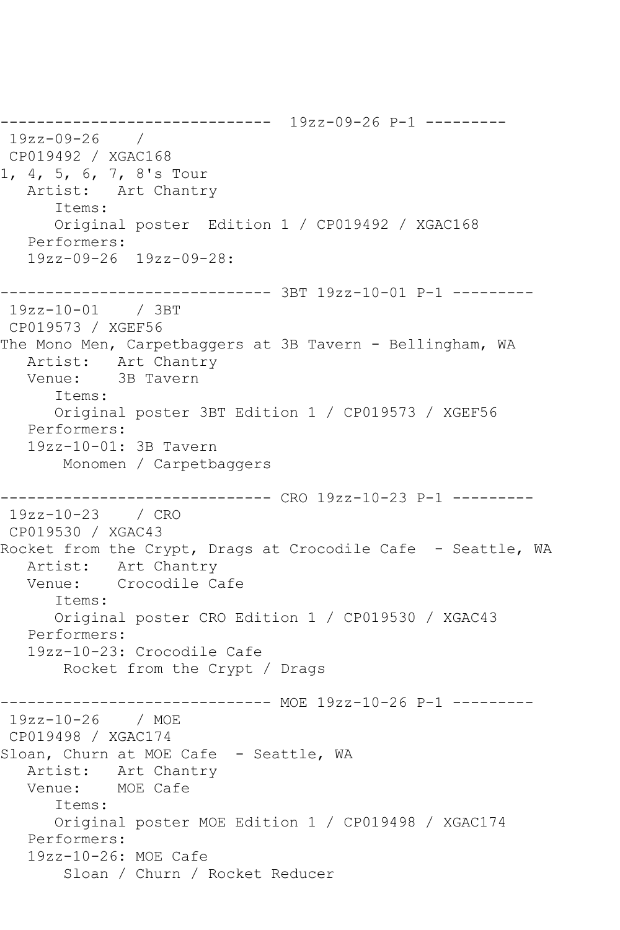------------------------------ 19zz-09-26 P-1 --------- 19zz-09-26 / CP019492 / XGAC168 1, 4, 5, 6, 7, 8's Tour Artist: Art Chantry Items: Original poster Edition 1 / CP019492 / XGAC168 Performers: 19zz-09-26 19zz-09-28: ------------------------------ 3BT 19zz-10-01 P-1 --------- 19zz-10-01 / 3BT CP019573 / XGEF56 The Mono Men, Carpetbaggers at 3B Tavern - Bellingham, WA Artist: Art Chantry Venue: 3B Tavern Items: Original poster 3BT Edition 1 / CP019573 / XGEF56 Performers: 19zz-10-01: 3B Tavern Monomen / Carpetbaggers ------------------------------ CRO 19zz-10-23 P-1 --------- 19zz-10-23 / CRO CP019530 / XGAC43 Rocket from the Crypt, Drags at Crocodile Cafe - Seattle, WA Artist: Art Chantry Venue: Crocodile Cafe Items: Original poster CRO Edition 1 / CP019530 / XGAC43 Performers: 19zz-10-23: Crocodile Cafe Rocket from the Crypt / Drags ------------------------------ MOE 19zz-10-26 P-1 --------- 19zz-10-26 / MOE CP019498 / XGAC174 Sloan, Churn at MOE Cafe - Seattle, WA Artist: Art Chantry Venue: MOE Cafe Items: Original poster MOE Edition 1 / CP019498 / XGAC174 Performers: 19zz-10-26: MOE Cafe Sloan / Churn / Rocket Reducer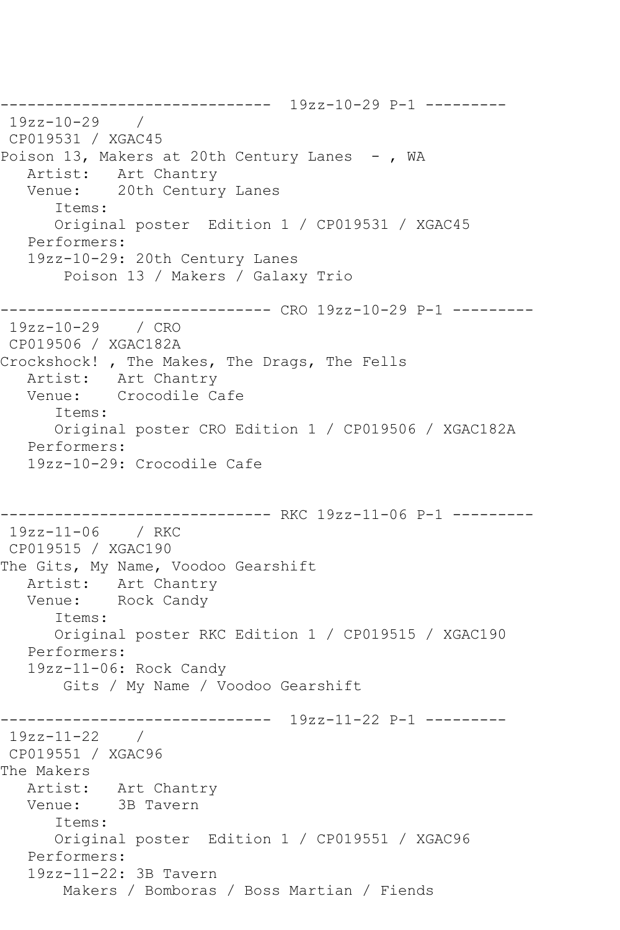------------------------------ 19zz-10-29 P-1 --------- 19zz-10-29 / CP019531 / XGAC45 Poison 13, Makers at 20th Century Lanes -, WA Artist: Art Chantry Venue: 20th Century Lanes Items: Original poster Edition 1 / CP019531 / XGAC45 Performers: 19zz-10-29: 20th Century Lanes Poison 13 / Makers / Galaxy Trio ------------------------------ CRO 19zz-10-29 P-1 --------- 19zz-10-29 / CRO CP019506 / XGAC182A Crockshock! , The Makes, The Drags, The Fells Artist: Art Chantry Venue: Crocodile Cafe Items: Original poster CRO Edition 1 / CP019506 / XGAC182A Performers: 19zz-10-29: Crocodile Cafe ------------------------------ RKC 19zz-11-06 P-1 --------- 19zz-11-06 / RKC CP019515 / XGAC190 The Gits, My Name, Voodoo Gearshift Artist: Art Chantry Venue: Rock Candy Items: Original poster RKC Edition 1 / CP019515 / XGAC190 Performers: 19zz-11-06: Rock Candy Gits / My Name / Voodoo Gearshift ------------------------------ 19zz-11-22 P-1 --------- 19zz-11-22 / CP019551 / XGAC96 The Makers Artist: Art Chantry Venue: 3B Tavern Items: Original poster Edition 1 / CP019551 / XGAC96 Performers: 19zz-11-22: 3B Tavern Makers / Bomboras / Boss Martian / Fiends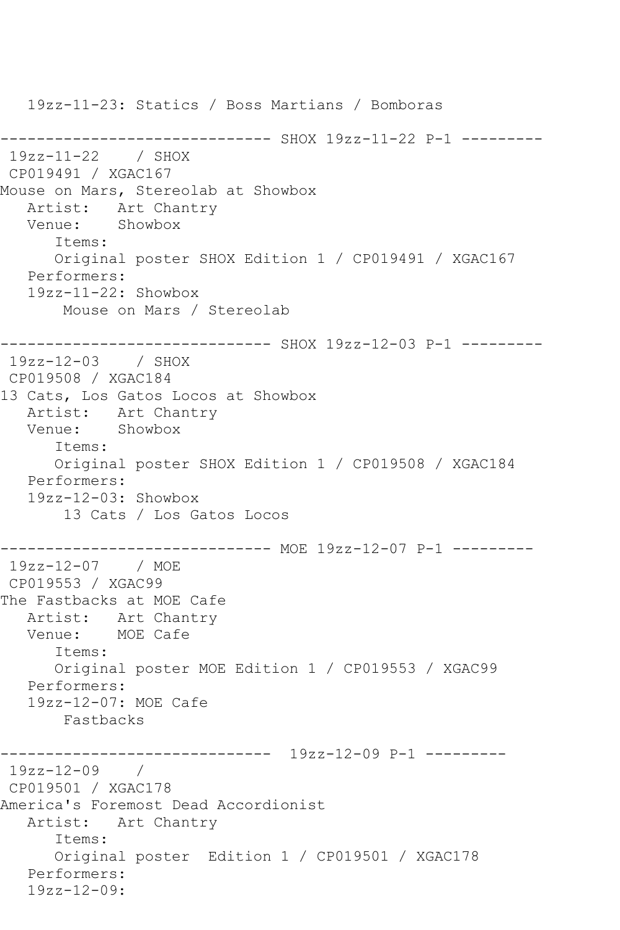19zz-11-23: Statics / Boss Martians / Bomboras ------------------------------ SHOX 19zz-11-22 P-1 --------- 19zz-11-22 / SHOX CP019491 / XGAC167 Mouse on Mars, Stereolab at Showbox Artist: Art Chantry<br>Venue: Showbox Venue: Items: Original poster SHOX Edition 1 / CP019491 / XGAC167 Performers: 19zz-11-22: Showbox Mouse on Mars / Stereolab ------------------------------ SHOX 19zz-12-03 P-1 --------- 19zz-12-03 / SHOX CP019508 / XGAC184 13 Cats, Los Gatos Locos at Showbox Artist: Art Chantry<br>Venue: Showbox Venue: Items: Original poster SHOX Edition 1 / CP019508 / XGAC184 Performers: 19zz-12-03: Showbox 13 Cats / Los Gatos Locos ------------------------------ MOE 19zz-12-07 P-1 --------- 19zz-12-07 / MOE CP019553 / XGAC99 The Fastbacks at MOE Cafe Artist: Art Chantry Venue: MOE Cafe Items: Original poster MOE Edition 1 / CP019553 / XGAC99 Performers: 19zz-12-07: MOE Cafe Fastbacks ------------------------------ 19zz-12-09 P-1 --------- 19zz-12-09 / CP019501 / XGAC178 America's Foremost Dead Accordionist Artist: Art Chantry Items: Original poster Edition 1 / CP019501 / XGAC178 Performers: 19zz-12-09: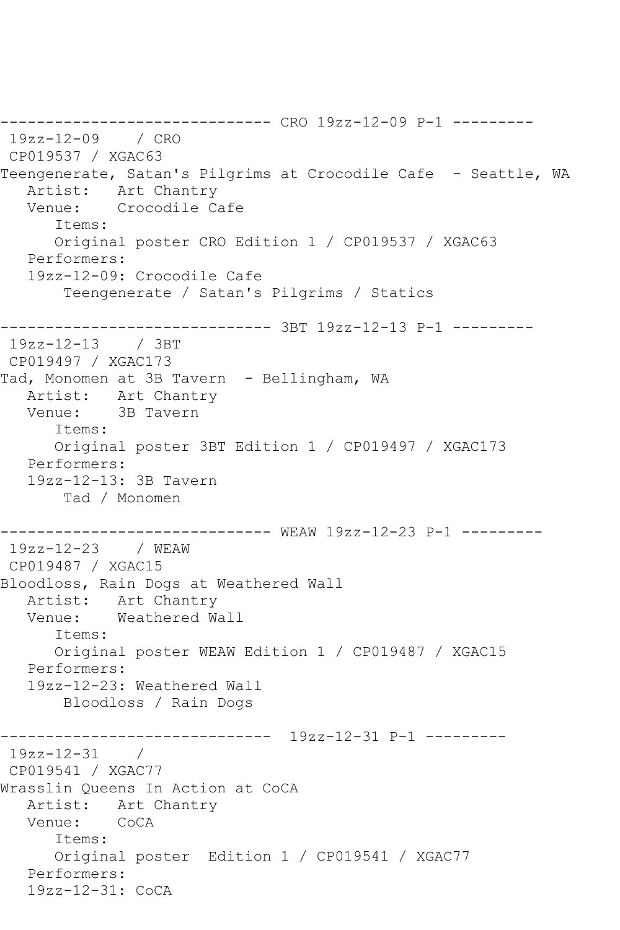------------------------------ CRO 19zz-12-09 P-1 --------- 19zz-12-09 / CRO CP019537 / XGAC63 Teengenerate, Satan's Pilgrims at Crocodile Cafe - Seattle, WA Artist: Art Chantry<br>Venue: Crocodile Ca Crocodile Cafe Items: Original poster CRO Edition 1 / CP019537 / XGAC63 Performers: 19zz-12-09: Crocodile Cafe Teengenerate / Satan's Pilgrims / Statics ------------------------------ 3BT 19zz-12-13 P-1 --------- 19zz-12-13 / 3BT CP019497 / XGAC173 Tad, Monomen at 3B Tavern - Bellingham, WA Artist: Art Chantry Venue: 3B Tavern Items: Original poster 3BT Edition 1 / CP019497 / XGAC173 Performers: 19zz-12-13: 3B Tavern Tad / Monomen ------------------------------ WEAW 19zz-12-23 P-1 --------- 19zz-12-23 / WEAW CP019487 / XGAC15 Bloodloss, Rain Dogs at Weathered Wall Artist: Art Chantry<br>Venue: Weathered Wa Weathered Wall Items: Original poster WEAW Edition 1 / CP019487 / XGAC15 Performers: 19zz-12-23: Weathered Wall Bloodloss / Rain Dogs ------------------------------ 19zz-12-31 P-1 --------- 19zz-12-31 / CP019541 / XGAC77 Wrasslin Queens In Action at CoCA Artist: Art Chantry Venue: CoCA Items: Original poster Edition 1 / CP019541 / XGAC77 Performers: 19zz-12-31: CoCA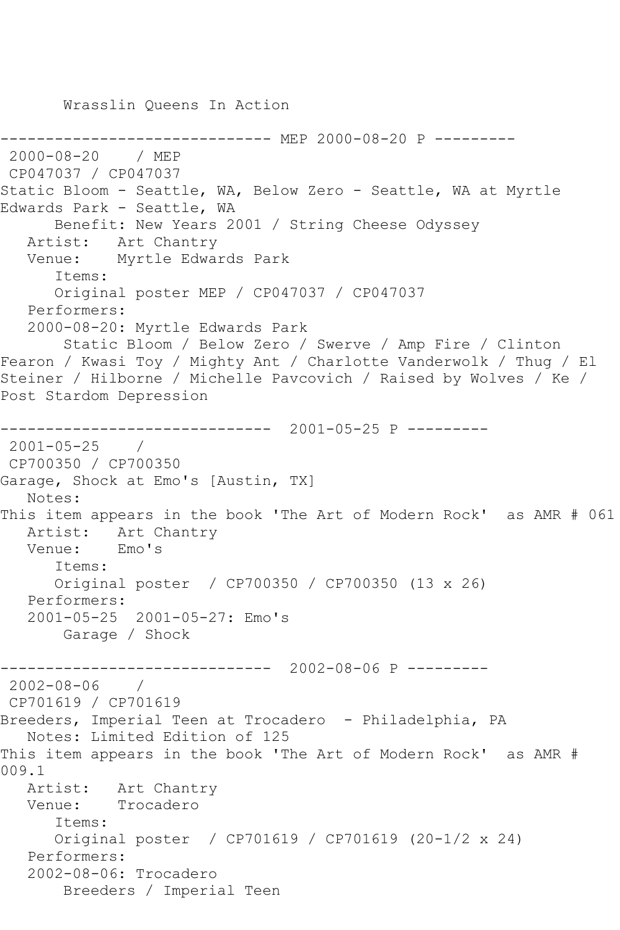---------- MEP 2000-08-20 P ---------2000-08-20 / MEP CP047037 / CP047037 Static Bloom - Seattle, WA, Below Zero - Seattle, WA at Myrtle Edwards Park - Seattle, WA Benefit: New Years 2001 / String Cheese Odyssey Artist: Art Chantry Venue: Myrtle Edwards Park Items: Original poster MEP / CP047037 / CP047037 Performers: 2000-08-20: Myrtle Edwards Park Static Bloom / Below Zero / Swerve / Amp Fire / Clinton Fearon / Kwasi Toy / Mighty Ant / Charlotte Vanderwolk / Thug / El Steiner / Hilborne / Michelle Pavcovich / Raised by Wolves / Ke / Post Stardom Depression ------------------------------ 2001-05-25 P --------- 2001-05-25 / CP700350 / CP700350 Garage, Shock at Emo's [Austin, TX] Notes: This item appears in the book 'The Art of Modern Rock' as AMR # 061 Artist: Art Chantry Venue: Emo's Items: Original poster / CP700350 / CP700350 (13 x 26) Performers: 2001-05-25 2001-05-27: Emo's Garage / Shock ------------------------------ 2002-08-06 P --------- 2002-08-06 / CP701619 / CP701619 Breeders, Imperial Teen at Trocadero - Philadelphia, PA Notes: Limited Edition of 125 This item appears in the book 'The Art of Modern Rock' as AMR # 009.1 Artist: Art Chantry Venue: Trocadero Items: Original poster / CP701619 / CP701619 (20-1/2 x 24) Performers:

2002-08-06: Trocadero

Breeders / Imperial Teen

Wrasslin Queens In Action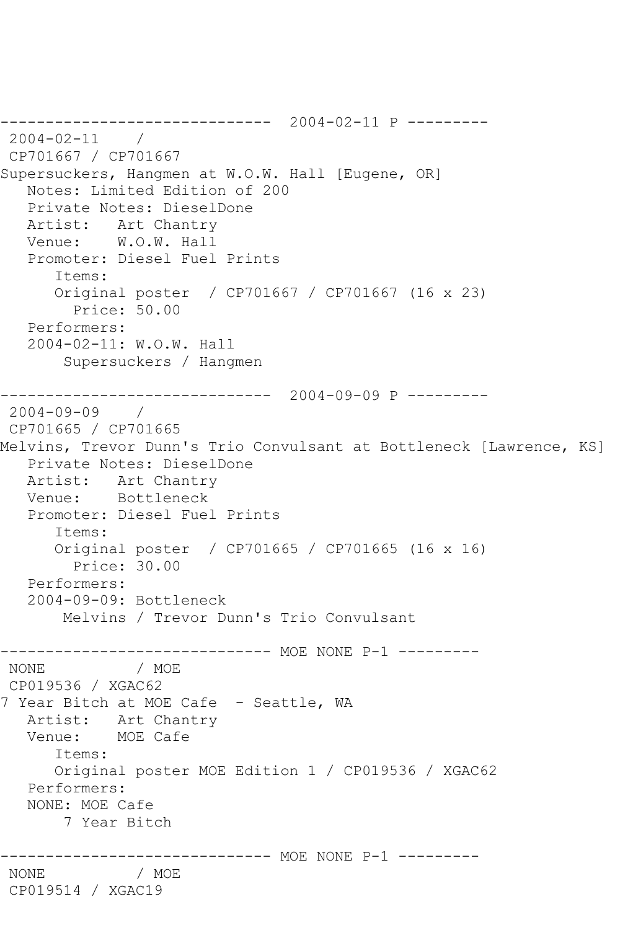```
------------------------------ 2004-02-11 P ---------
2004-02-11 / 
CP701667 / CP701667
Supersuckers, Hangmen at W.O.W. Hall [Eugene, OR]
   Notes: Limited Edition of 200
   Private Notes: DieselDone
   Artist: Art Chantry
   Venue: W.O.W. Hall
   Promoter: Diesel Fuel Prints
      Items:
      Original poster / CP701667 / CP701667 (16 x 23)
         Price: 50.00
   Performers:
   2004-02-11: W.O.W. Hall
        Supersuckers / Hangmen
------------------------------ 2004-09-09 P ---------
2004-09-09 / 
CP701665 / CP701665
Melvins, Trevor Dunn's Trio Convulsant at Bottleneck [Lawrence, KS]
   Private Notes: DieselDone
   Artist: Art Chantry
   Venue: Bottleneck
   Promoter: Diesel Fuel Prints
      Items:
      Original poster / CP701665 / CP701665 (16 x 16)
         Price: 30.00
   Performers:
   2004-09-09: Bottleneck
       Melvins / Trevor Dunn's Trio Convulsant
------------------------------ MOE NONE P-1 ---------
              / MOE
CP019536 / XGAC62
7 Year Bitch at MOE Cafe - Seattle, WA
   Artist: Art Chantry
   Venue: MOE Cafe
      Items:
      Original poster MOE Edition 1 / CP019536 / XGAC62
   Performers:
   NONE: MOE Cafe
       7 Year Bitch
                  ----------- MOE NONE P-1 ---------
NONE / MOE 
CP019514 / XGAC19
```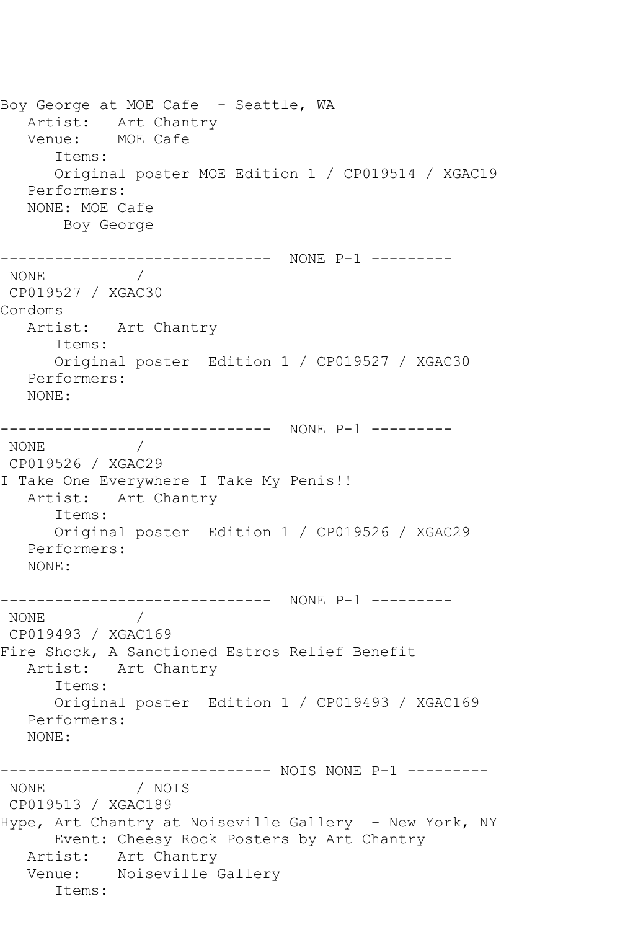Boy George at MOE Cafe - Seattle, WA Artist: Art Chantry Venue: MOE Cafe Items: Original poster MOE Edition 1 / CP019514 / XGAC19 Performers: NONE: MOE Cafe Boy George ------------------------------ NONE P-1 --------- NONE **Internal and A** CP019527 / XGAC30 Condoms Artist: Art Chantry Items: Original poster Edition 1 / CP019527 / XGAC30 Performers: NONE: ------------------------------ NONE P-1 --------- NONE / CP019526 / XGAC29 I Take One Everywhere I Take My Penis!! Artist: Art Chantry Items: Original poster Edition 1 / CP019526 / XGAC29 Performers: NONE: ------------------------------ NONE P-1 --------- NONE CP019493 / XGAC169 Fire Shock, A Sanctioned Estros Relief Benefit Artist: Art Chantry Items: Original poster Edition 1 / CP019493 / XGAC169 Performers: NONE: ------------------------------ NOIS NONE P-1 --------- NONE / NOIS CP019513 / XGAC189 Hype, Art Chantry at Noiseville Gallery - New York, NY Event: Cheesy Rock Posters by Art Chantry Artist: Art Chantry Venue: Noiseville Gallery Items: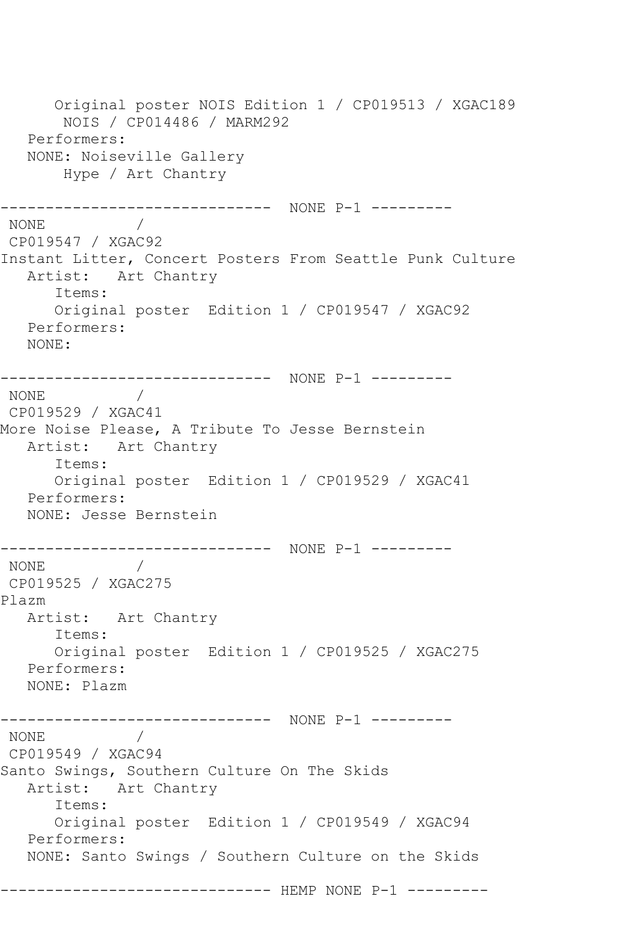Original poster NOIS Edition 1 / CP019513 / XGAC189 NOIS / CP014486 / MARM292 Performers: NONE: Noiseville Gallery Hype / Art Chantry ------------------------------ NONE P-1 --------- NONE / CP019547 / XGAC92 Instant Litter, Concert Posters From Seattle Punk Culture Artist: Art Chantry Items: Original poster Edition 1 / CP019547 / XGAC92 Performers: NONE: ------------------------------ NONE P-1 --------- NONE / CP019529 / XGAC41 More Noise Please, A Tribute To Jesse Bernstein Artist: Art Chantry Items: Original poster Edition 1 / CP019529 / XGAC41 Performers: NONE: Jesse Bernstein ------------------------------ NONE P-1 --------- NONE / CP019525 / XGAC275 Plazm Artist: Art Chantry Items: Original poster Edition 1 / CP019525 / XGAC275 Performers: NONE: Plazm ------------------------------ NONE P-1 --------- NONE / CP019549 / XGAC94 Santo Swings, Southern Culture On The Skids Artist: Art Chantry Items: Original poster Edition 1 / CP019549 / XGAC94 Performers: NONE: Santo Swings / Southern Culture on the Skids ------------------------------ HEMP NONE P-1 ---------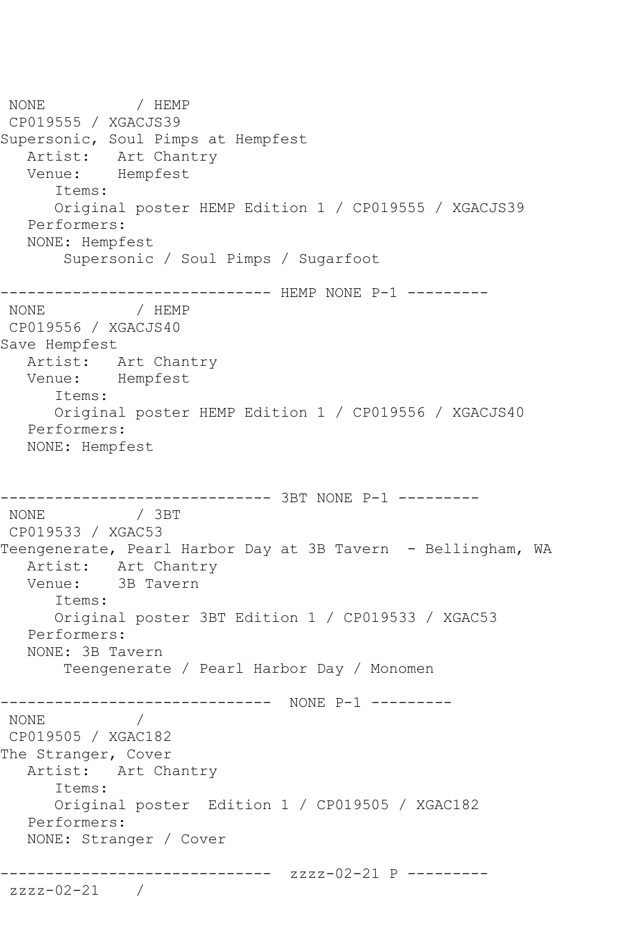NONE / HEMP CP019555 / XGACJS39 Supersonic, Soul Pimps at Hempfest Artist: Art Chantry Venue: Hempfest Items: Original poster HEMP Edition 1 / CP019555 / XGACJS39 Performers: NONE: Hempfest Supersonic / Soul Pimps / Sugarfoot ------------------------------ HEMP NONE P-1 --------- NONE / HEMP CP019556 / XGACJS40 Save Hempfest Artist: Art Chantry Venue: Hempfest Items: Original poster HEMP Edition 1 / CP019556 / XGACJS40 Performers: NONE: Hempfest ------------------------------ 3BT NONE P-1 --------- NONE / 3BT CP019533 / XGAC53 Teengenerate, Pearl Harbor Day at 3B Tavern - Bellingham, WA Artist: Art Chantry Venue: 3B Tavern Items: Original poster 3BT Edition 1 / CP019533 / XGAC53 Performers: NONE: 3B Tavern Teengenerate / Pearl Harbor Day / Monomen ------------------------------ NONE P-1 --------- NONE / CP019505 / XGAC182 The Stranger, Cover Artist: Art Chantry Items: Original poster Edition 1 / CP019505 / XGAC182 Performers: NONE: Stranger / Cover ------------------------------ zzzz-02-21 P -------- zzzz-02-21 /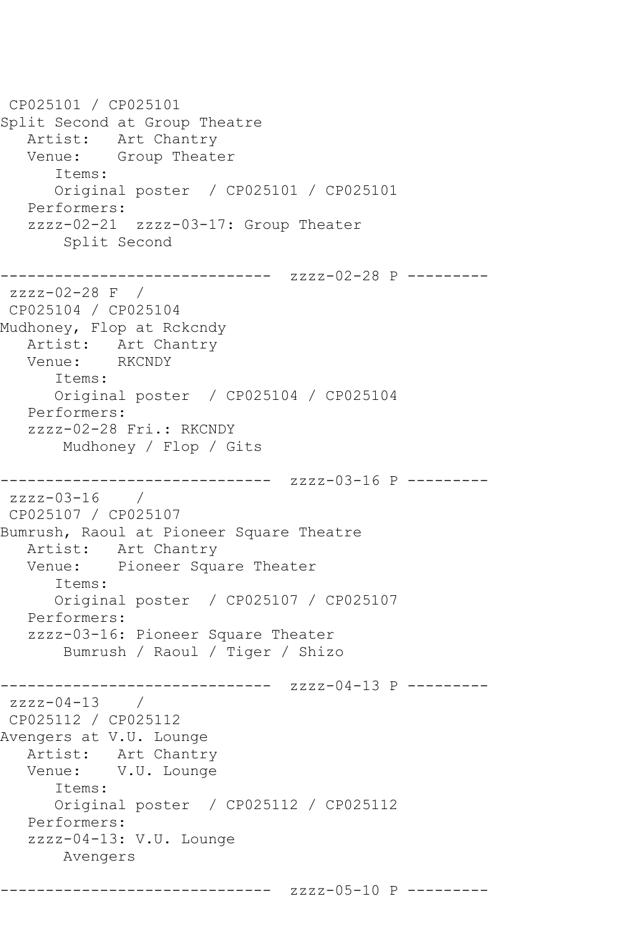CP025101 / CP025101 Split Second at Group Theatre Artist: Art Chantry Venue: Group Theater Items: Original poster / CP025101 / CP025101 Performers: zzzz-02-21 zzzz-03-17: Group Theater Split Second ------------------------------ zzzz-02-28 P -------- zzzz-02-28 F / CP025104 / CP025104 Mudhoney, Flop at Rckcndy Artist: Art Chantry<br>Venue: RKCNDY Venue: Items: Original poster / CP025104 / CP025104 Performers: zzzz-02-28 Fri.: RKCNDY Mudhoney / Flop / Gits ------------------------------ zzzz-03-16 P -------- zzzz-03-16 / CP025107 / CP025107 Bumrush, Raoul at Pioneer Square Theatre Artist: Art Chantry Venue: Pioneer Square Theater Items: Original poster / CP025107 / CP025107 Performers: zzzz-03-16: Pioneer Square Theater Bumrush / Raoul / Tiger / Shizo ------------------------------ zzzz-04-13 P -------- zzzz-04-13 / CP025112 / CP025112 Avengers at V.U. Lounge Artist: Art Chantry<br>Venue: V.U. Lounge V.U. Lounge Items: Original poster / CP025112 / CP025112 Performers: zzzz-04-13: V.U. Lounge Avengers

------------------------------ zzzz-05-10 P ---------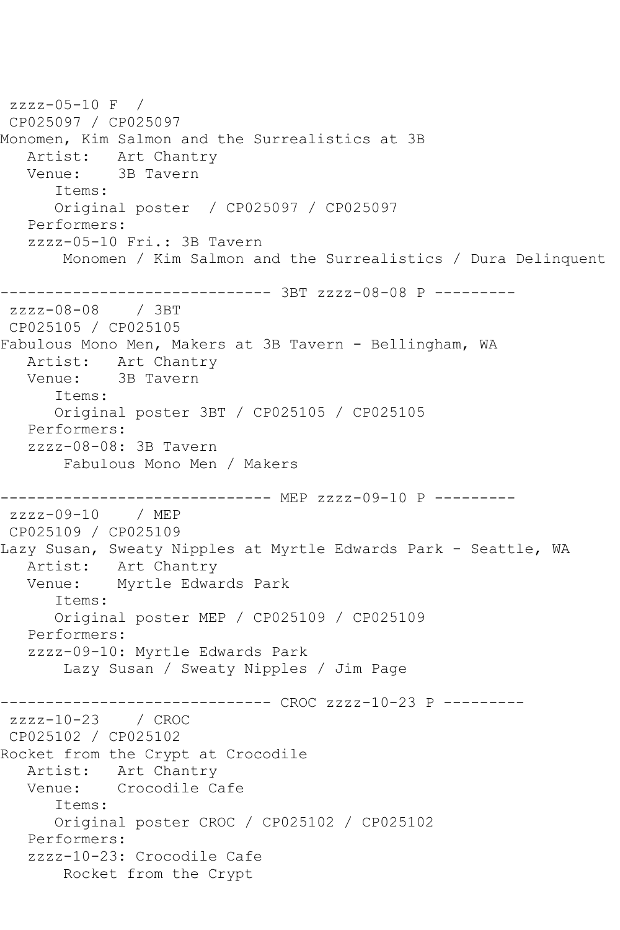```
zzzz-05-10 F / 
CP025097 / CP025097
Monomen, Kim Salmon and the Surrealistics at 3B
  Artist: Art Chantry<br>Venue: 3B Tavern
            3B Tavern
       Items:
       Original poster / CP025097 / CP025097
   Performers:
    zzzz-05-10 Fri.: 3B Tavern
        Monomen / Kim Salmon and the Surrealistics / Dura Delinquent
------------------------------- 3BT zzzz-08-08 P ---------<br>zzzz-08-08     / 3BT
zzzz-08-08CP025105 / CP025105
Fabulous Mono Men, Makers at 3B Tavern - Bellingham, WA
   Artist: Art Chantry
   Venue: 3B Tavern
       Items:
       Original poster 3BT / CP025105 / CP025105
   Performers:
    zzzz-08-08: 3B Tavern
        Fabulous Mono Men / Makers
------------------------------ MEP zzzz-09-10 P ---------
zzzz-09-10 / MEP 
CP025109 / CP025109
Lazy Susan, Sweaty Nipples at Myrtle Edwards Park - Seattle, WA
   Artist: Art Chantry
   Venue: Myrtle Edwards Park
       Items:
       Original poster MEP / CP025109 / CP025109
    Performers:
    zzzz-09-10: Myrtle Edwards Park
        Lazy Susan / Sweaty Nipples / Jim Page
------------------------------ CROC zzzz-10-23 P ---------
zzzz-10-23 / CROC 
CP025102 / CP025102
Rocket from the Crypt at Crocodile<br>Artist: Art Chantry
            Art Chantry
   Venue: Crocodile Cafe
       Items:
       Original poster CROC / CP025102 / CP025102
    Performers:
    zzzz-10-23: Crocodile Cafe
        Rocket from the Crypt
```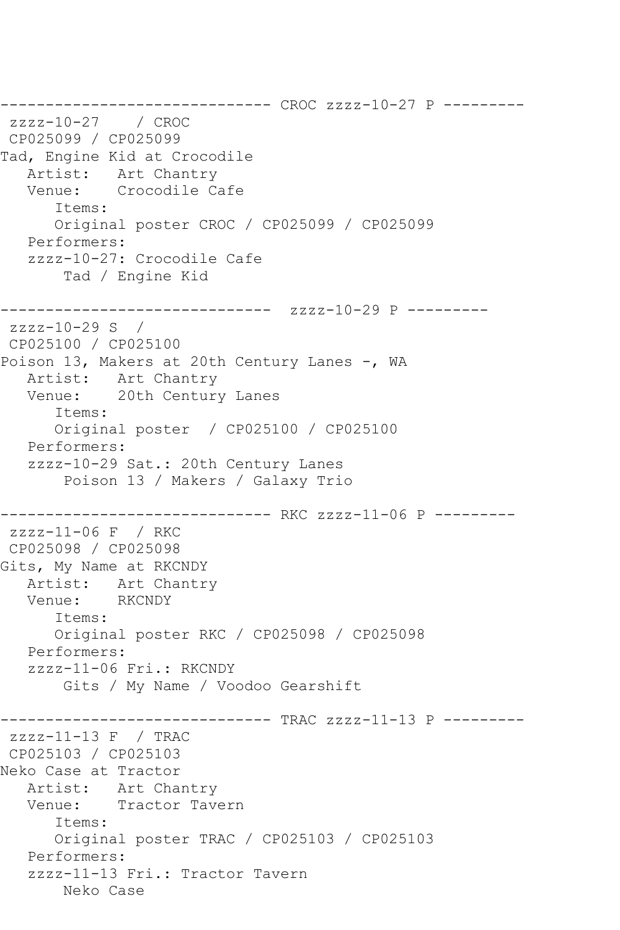------------------------------ CROC zzzz-10-27 P -------- zzzz-10-27 / CROC CP025099 / CP025099 Tad, Engine Kid at Crocodile Artist: Art Chantry Venue: Crocodile Cafe Items: Original poster CROC / CP025099 / CP025099 Performers: zzzz-10-27: Crocodile Cafe Tad / Engine Kid ------------------------------ zzzz-10-29 P -------- zzzz-10-29 S / CP025100 / CP025100 Poison 13, Makers at 20th Century Lanes -, WA Artist: Art Chantry Venue: 20th Century Lanes Items: Original poster / CP025100 / CP025100 Performers: zzzz-10-29 Sat.: 20th Century Lanes Poison 13 / Makers / Galaxy Trio ------------------------------ RKC zzzz-11-06 P -------- zzzz-11-06 F / RKC CP025098 / CP025098 Gits, My Name at RKCNDY Artist: Art Chantry Venue: RKCNDY Items: Original poster RKC / CP025098 / CP025098 Performers: zzzz-11-06 Fri.: RKCNDY Gits / My Name / Voodoo Gearshift ------------------------------ TRAC zzzz-11-13 P -------- zzzz-11-13 F / TRAC CP025103 / CP025103 Neko Case at Tractor Artist: Art Chantry Venue: Tractor Tavern Items: Original poster TRAC / CP025103 / CP025103 Performers: zzzz-11-13 Fri.: Tractor Tavern Neko Case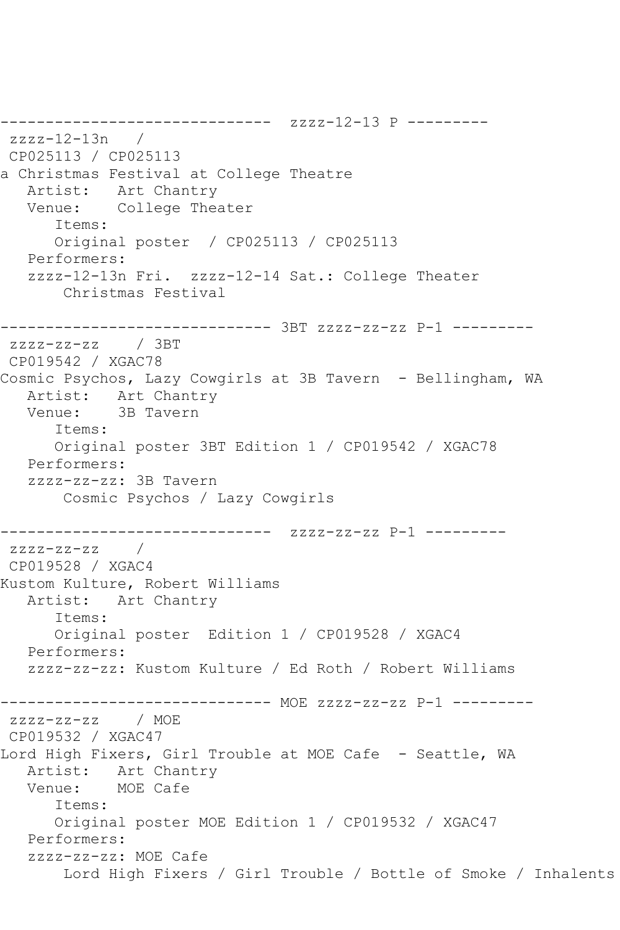------------------------------ zzzz-12-13 P -------- zzzz-12-13n / CP025113 / CP025113 a Christmas Festival at College Theatre Artist: Art Chantry Venue: College Theater Items: Original poster / CP025113 / CP025113 Performers: zzzz-12-13n Fri. zzzz-12-14 Sat.: College Theater Christmas Festival ------------------------------ 3BT zzzz-zz-zz P-1 -------- zzzz-zz-zz / 3BT CP019542 / XGAC78 Cosmic Psychos, Lazy Cowgirls at 3B Tavern - Bellingham, WA Artist: Art Chantry Venue: 3B Tavern Items: Original poster 3BT Edition 1 / CP019542 / XGAC78 Performers: zzzz-zz-zz: 3B Tavern Cosmic Psychos / Lazy Cowgirls ------------------------------ zzzz-zz-zz P-1 -------- zzzz-zz-zz / CP019528 / XGAC4 Kustom Kulture, Robert Williams Artist: Art Chantry Items: Original poster Edition 1 / CP019528 / XGAC4 Performers: zzzz-zz-zz: Kustom Kulture / Ed Roth / Robert Williams ------------------------------ MOE zzzz-zz-zz P-1 -------- zzzz-zz-zz / MOE CP019532 / XGAC47 Lord High Fixers, Girl Trouble at MOE Cafe - Seattle, WA Artist: Art Chantry Venue: MOE Cafe Items: Original poster MOE Edition 1 / CP019532 / XGAC47 Performers: zzzz-zz-zz: MOE Cafe Lord High Fixers / Girl Trouble / Bottle of Smoke / Inhalents